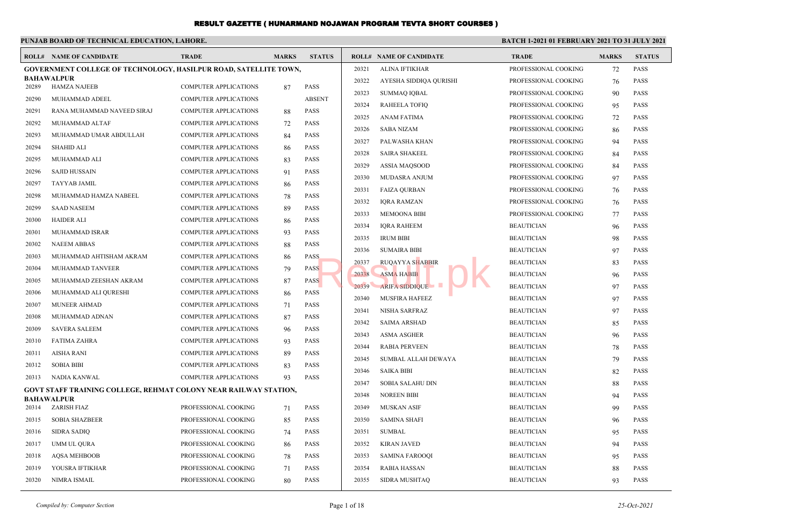|                | PUNJAB BOARD OF TECHNICAL EDUCATION, LAHORE.                                                 |                              |              |                            | <b>BATCH 1-2021 01 FEBRUARY 2021 TO 31 JULY 2021</b> |                                |                      |              |               |
|----------------|----------------------------------------------------------------------------------------------|------------------------------|--------------|----------------------------|------------------------------------------------------|--------------------------------|----------------------|--------------|---------------|
|                | <b>ROLL# NAME OF CANDIDATE</b>                                                               | <b>TRADE</b>                 | <b>MARKS</b> | <b>STATUS</b>              |                                                      | <b>ROLL# NAME OF CANDIDATE</b> | <b>TRADE</b>         | <b>MARKS</b> | <b>STATUS</b> |
|                | <b>GOVERNMENT COLLEGE OF TECHNOLOGY, HASILPUR ROAD, SATELLITE TOWN,</b>                      |                              |              |                            | 20321                                                | ALINA IFTIKHAR                 | PROFESSIONAL COOKING | 72           | <b>PASS</b>   |
| 20289          | <b>BAHAWALPUR</b><br><b>HAMZA NAJEEB</b>                                                     | <b>COMPUTER APPLICATIONS</b> | 87           | <b>PASS</b>                | 20322                                                | AYESHA SIDDIQA QURISHI         | PROFESSIONAL COOKING | 76           | <b>PASS</b>   |
| 20290          | MUHAMMAD ADEEL                                                                               | COMPUTER APPLICATIONS        |              | <b>ABSENT</b>              | 20323                                                | <b>SUMMAQ IQBAL</b>            | PROFESSIONAL COOKING | 90           | <b>PASS</b>   |
| 20291          | RANA MUHAMMAD NAVEED SIRAJ                                                                   | <b>COMPUTER APPLICATIONS</b> | 88           | PASS                       | 20324                                                | <b>RAHEELA TOFIQ</b>           | PROFESSIONAL COOKING | 95           | <b>PASS</b>   |
| 20292          | MUHAMMAD ALTAF                                                                               | <b>COMPUTER APPLICATIONS</b> | 72           | <b>PASS</b>                | 20325                                                | <b>ANAM FATIMA</b>             | PROFESSIONAL COOKING | 72           | <b>PASS</b>   |
| 20293          | MUHAMMAD UMAR ABDULLAH                                                                       | <b>COMPUTER APPLICATIONS</b> | 84           | <b>PASS</b>                | 20326                                                | <b>SABA NIZAM</b>              | PROFESSIONAL COOKING | 86           | <b>PASS</b>   |
| 20294          | <b>SHAHID ALI</b>                                                                            | <b>COMPUTER APPLICATIONS</b> | 86           | <b>PASS</b>                | 20327                                                | PALWASHA KHAN                  | PROFESSIONAL COOKING | 94           | <b>PASS</b>   |
| 20295          | MUHAMMAD ALI                                                                                 | <b>COMPUTER APPLICATIONS</b> | 83           | <b>PASS</b>                | 20328                                                | <b>SAIRA SHAKEEL</b>           | PROFESSIONAL COOKING | 84           | <b>PASS</b>   |
| 20296          | <b>SAJID HUSSAIN</b>                                                                         | <b>COMPUTER APPLICATIONS</b> |              | <b>PASS</b>                | 20329                                                | ASSIA MAQSOOD                  | PROFESSIONAL COOKING | 84           | <b>PASS</b>   |
| 20297          | <b>TAYYAB JAMIL</b>                                                                          | <b>COMPUTER APPLICATIONS</b> | 91           | <b>PASS</b>                | 20330                                                | MUDASRA ANJUM                  | PROFESSIONAL COOKING | 97           | <b>PASS</b>   |
| 20298          |                                                                                              | <b>COMPUTER APPLICATIONS</b> | 86           | <b>PASS</b>                | 20331                                                | <b>FAIZA QURBAN</b>            | PROFESSIONAL COOKING | 76           | <b>PASS</b>   |
|                | MUHAMMAD HAMZA NABEEL                                                                        |                              | 78           | PASS                       | 20332                                                | <b>IORA RAMZAN</b>             | PROFESSIONAL COOKING | 76           | <b>PASS</b>   |
| 20299          | <b>SAAD NASEEM</b>                                                                           | <b>COMPUTER APPLICATIONS</b> | 89           |                            | 20333                                                | <b>MEMOONA BIBI</b>            | PROFESSIONAL COOKING | 77           | <b>PASS</b>   |
| 20300          | <b>HAIDER ALI</b>                                                                            | <b>COMPUTER APPLICATIONS</b> | 86           | PASS                       | 20334                                                | <b>IORA RAHEEM</b>             | <b>BEAUTICIAN</b>    | 96           | <b>PASS</b>   |
| 20301<br>20302 | MUHAMMAD ISRAR                                                                               | <b>COMPUTER APPLICATIONS</b> | 93           | <b>PASS</b><br><b>PASS</b> | 20335                                                | <b>IRUM BIBI</b>               | <b>BEAUTICIAN</b>    | 98           | <b>PASS</b>   |
|                | <b>NAEEM ABBAS</b>                                                                           | <b>COMPUTER APPLICATIONS</b> | 88           |                            | 20336                                                | <b>SUMAIRA BIBI</b>            | <b>BEAUTICIAN</b>    | 97           | <b>PASS</b>   |
| 20303          | MUHAMMAD AHTISHAM AKRAM                                                                      | <b>COMPUTER APPLICATIONS</b> | 86           | <b>PASS</b>                | 20337                                                | <b>RUQAYYA SHABBIR</b>         | <b>BEAUTICIAN</b>    | 83           | <b>PASS</b>   |
| 20304          | MUHAMMAD TANVEER                                                                             | <b>COMPUTER APPLICATIONS</b> | 79           | <b>PASS</b><br><b>PASS</b> | 20338                                                | <b>ASMA HABIB</b>              | <b>BEAUTICIAN</b>    | 96           | <b>PASS</b>   |
| 20305          | MUHAMMAD ZEESHAN AKRAM                                                                       | <b>COMPUTER APPLICATIONS</b> | 87           |                            | 20339                                                | ARIFA SIDDIQUE                 | <b>BEAUTICIAN</b>    | 97           | <b>PASS</b>   |
| 20306          | MUHAMMAD ALI QURESHI<br><b>MUNEER AHMAD</b>                                                  | COMPUTER APPLICATIONS        | 86           | <b>PASS</b><br><b>PASS</b> | 20340                                                | <b>MUSFIRA HAFEEZ</b>          | <b>BEAUTICIAN</b>    | 97           | <b>PASS</b>   |
| 20307          |                                                                                              | COMPUTER APPLICATIONS        | 71           |                            | 20341                                                | <b>NISHA SARFRAZ</b>           | <b>BEAUTICIAN</b>    | 97           | <b>PASS</b>   |
| 20308          | MUHAMMAD ADNAN                                                                               | <b>COMPUTER APPLICATIONS</b> | 87           | PASS                       | 20342                                                | <b>SAIMA ARSHAD</b>            | <b>BEAUTICIAN</b>    | 85           | <b>PASS</b>   |
| 20309          | <b>SAVERA SALEEM</b>                                                                         | <b>COMPUTER APPLICATIONS</b> | 96           | <b>PASS</b>                | 20343                                                | <b>ASMA ASGHER</b>             | <b>BEAUTICIAN</b>    | 96           | <b>PASS</b>   |
| 20310          | <b>FATIMA ZAHRA</b>                                                                          | <b>COMPUTER APPLICATIONS</b> | 93           | PASS                       | 20344                                                | <b>RABIA PERVEEN</b>           | <b>BEAUTICIAN</b>    | 78           | <b>PASS</b>   |
| 20311          | <b>AISHA RANI</b>                                                                            | <b>COMPUTER APPLICATIONS</b> | 89           | PASS                       | 20345                                                | SUMBAL ALLAH DEWAYA            | <b>BEAUTICIAN</b>    | 79           | <b>PASS</b>   |
| 20312          | <b>SOBIA BIBI</b>                                                                            | <b>COMPUTER APPLICATIONS</b> | 83           | PASS                       | 20346                                                | <b>SAIKA BIBI</b>              | <b>BEAUTICIAN</b>    | 82           | <b>PASS</b>   |
| 20313          | NADIA KANWAL                                                                                 | <b>COMPUTER APPLICATIONS</b> | 93           | <b>PASS</b>                | 20347                                                | SOBIA SALAHU DIN               | <b>BEAUTICIAN</b>    | 88           | <b>PASS</b>   |
|                | <b>GOVT STAFF TRAINING COLLEGE, REHMAT COLONY NEAR RAILWAY STATION,</b><br><b>BAHAWALPUR</b> |                              |              |                            | 20348                                                | <b>NOREEN BIBI</b>             | <b>BEAUTICIAN</b>    | 94           | <b>PASS</b>   |
| 20314          | ZARISH FIAZ                                                                                  | PROFESSIONAL COOKING         | 71           | <b>PASS</b>                | 20349                                                | <b>MUSKAN ASIF</b>             | <b>BEAUTICIAN</b>    | 99           | <b>PASS</b>   |
| 20315          | <b>SOBIA SHAZBEER</b>                                                                        | PROFESSIONAL COOKING         | 85           | <b>PASS</b>                | 20350                                                | <b>SAMINA SHAFI</b>            | <b>BEAUTICIAN</b>    | 96           | <b>PASS</b>   |
| 20316          | <b>SIDRA SADIO</b>                                                                           | PROFESSIONAL COOKING         | 74           | <b>PASS</b>                | 20351                                                | <b>SUMBAL</b>                  | <b>BEAUTICIAN</b>    | 95           | <b>PASS</b>   |
| 20317          | <b>UMM UL QURA</b>                                                                           | PROFESSIONAL COOKING         | 86           | <b>PASS</b>                | 20352                                                | <b>KIRAN JAVED</b>             | <b>BEAUTICIAN</b>    | 94           | <b>PASS</b>   |
| 20318          | <b>AQSA MEHBOOB</b>                                                                          | PROFESSIONAL COOKING         | 78           | <b>PASS</b>                | 20353                                                | <b>SAMINA FAROOQI</b>          | <b>BEAUTICIAN</b>    | 95           | <b>PASS</b>   |
| 20319          | YOUSRA IFTIKHAR                                                                              | PROFESSIONAL COOKING         | 71           | <b>PASS</b>                | 20354                                                | <b>RABIA HASSAN</b>            | <b>BEAUTICIAN</b>    | 88           | <b>PASS</b>   |
| 20320          | NIMRA ISMAIL                                                                                 | PROFESSIONAL COOKING         | 80           | <b>PASS</b>                | 20355                                                | <b>SIDRA MUSHTAQ</b>           | <b>BEAUTICIAN</b>    | 93           | <b>PASS</b>   |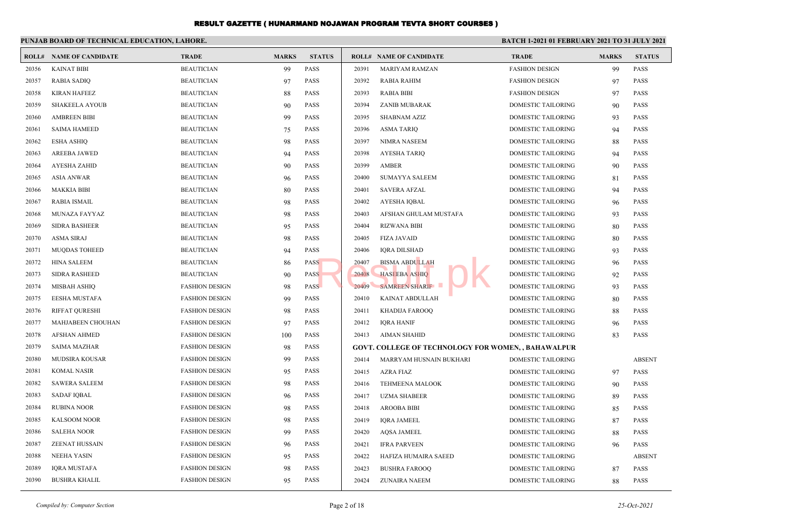|       | PUNJAB BOARD OF TECHNICAL EDUCATION, LAHORE. |                       |              |               |       |                                                            | <b>BATCH 1-2021 01 FEBRUARY 2021 TO 31 JULY 2021</b> |              |               |
|-------|----------------------------------------------|-----------------------|--------------|---------------|-------|------------------------------------------------------------|------------------------------------------------------|--------------|---------------|
|       | <b>ROLL# NAME OF CANDIDATE</b>               | <b>TRADE</b>          | <b>MARKS</b> | <b>STATUS</b> |       | <b>ROLL# NAME OF CANDIDATE</b>                             | <b>TRADE</b>                                         | <b>MARKS</b> | <b>STATUS</b> |
| 20356 | <b>KAINAT BIBI</b>                           | <b>BEAUTICIAN</b>     | 99           | PASS          | 20391 | <b>MARIYAM RAMZAN</b>                                      | <b>FASHION DESIGN</b>                                | 99           | <b>PASS</b>   |
| 20357 | <b>RABIA SADIQ</b>                           | <b>BEAUTICIAN</b>     | 97           | PASS          | 20392 | <b>RABIA RAHIM</b>                                         | <b>FASHION DESIGN</b>                                | 97           | <b>PASS</b>   |
| 20358 | <b>KIRAN HAFEEZ</b>                          | <b>BEAUTICIAN</b>     | 88           | PASS          | 20393 | <b>RABIA BIBI</b>                                          | <b>FASHION DESIGN</b>                                | 97           | <b>PASS</b>   |
| 20359 | <b>SHAKEELA AYOUB</b>                        | <b>BEAUTICIAN</b>     | 90           | <b>PASS</b>   | 20394 | ZANIB MUBARAK                                              | <b>DOMESTIC TAILORING</b>                            | 90           | <b>PASS</b>   |
| 20360 | <b>AMBREEN BIBI</b>                          | <b>BEAUTICIAN</b>     | 99           | PASS          | 20395 | <b>SHABNAM AZIZ</b>                                        | DOMESTIC TAILORING                                   | 93           | <b>PASS</b>   |
| 20361 | <b>SAIMA HAMEED</b>                          | <b>BEAUTICIAN</b>     | 75           | PASS          | 20396 | <b>ASMA TARIQ</b>                                          | DOMESTIC TAILORING                                   | 94           | <b>PASS</b>   |
| 20362 | <b>ESHA ASHIQ</b>                            | <b>BEAUTICIAN</b>     | 98           | <b>PASS</b>   | 20397 | <b>NIMRA NASEEM</b>                                        | <b>DOMESTIC TAILORING</b>                            | 88           | <b>PASS</b>   |
| 20363 | <b>AREEBA JAWED</b>                          | <b>BEAUTICIAN</b>     | 94           | <b>PASS</b>   | 20398 | <b>AYESHA TARIQ</b>                                        | <b>DOMESTIC TAILORING</b>                            | 94           | <b>PASS</b>   |
| 20364 | <b>AYESHA ZAHID</b>                          | <b>BEAUTICIAN</b>     | 90           | PASS          | 20399 | AMBER                                                      | DOMESTIC TAILORING                                   | 90           | <b>PASS</b>   |
| 20365 | <b>ASIA ANWAR</b>                            | <b>BEAUTICIAN</b>     | 96           | PASS          | 20400 | <b>SUMAYYA SALEEM</b>                                      | DOMESTIC TAILORING                                   | 81           | <b>PASS</b>   |
| 20366 | <b>MAKKIA BIBI</b>                           | <b>BEAUTICIAN</b>     | 80           | <b>PASS</b>   | 20401 | <b>SAVERA AFZAL</b>                                        | DOMESTIC TAILORING                                   | 94           | <b>PASS</b>   |
| 20367 | <b>RABIA ISMAIL</b>                          | <b>BEAUTICIAN</b>     | 98           | PASS          | 20402 | AYESHA IQBAL                                               | DOMESTIC TAILORING                                   | 96           | PASS          |
| 20368 | MUNAZA FAYYAZ                                | <b>BEAUTICIAN</b>     | 98           | PASS          | 20403 | AFSHAN GHULAM MUSTAFA                                      | DOMESTIC TAILORING                                   | 93           | <b>PASS</b>   |
| 20369 | <b>SIDRA BASHEER</b>                         | <b>BEAUTICIAN</b>     | 95           | <b>PASS</b>   | 20404 | <b>RIZWANA BIBI</b>                                        | <b>DOMESTIC TAILORING</b>                            | 80           | PASS          |
| 20370 | <b>ASMA SIRAJ</b>                            | <b>BEAUTICIAN</b>     | 98           | PASS          | 20405 | <b>FIZA JAVAID</b>                                         | DOMESTIC TAILORING                                   | 80           | PASS          |
| 20371 | <b>MUQDAS TOHEED</b>                         | <b>BEAUTICIAN</b>     | 94           | <b>PASS</b>   | 20406 | <b>IORA DILSHAD</b>                                        | <b>DOMESTIC TAILORING</b>                            | 93           | <b>PASS</b>   |
| 20372 | <b>HINA SALEEM</b>                           | <b>BEAUTICIAN</b>     | 86           | <b>PASS</b>   | 20407 | <b>BISMA ABDULLAH</b>                                      | <b>DOMESTIC TAILORING</b>                            | 96           | <b>PASS</b>   |
| 20373 | <b>SIDRA RASHEED</b>                         | <b>BEAUTICIAN</b>     | 90           | <b>PASS</b>   | 20408 | <b>HASEEBA ASHIQ</b>                                       | <b>DOMESTIC TAILORING</b>                            | 92           | <b>PASS</b>   |
| 20374 | <b>MISBAH ASHIQ</b>                          | <b>FASHION DESIGN</b> | 98           | <b>PASS</b>   | 20409 | SAMREEN SHARIF                                             | <b>DOMESTIC TAILORING</b>                            | 93           | <b>PASS</b>   |
| 20375 | <b>EESHA MUSTAFA</b>                         | <b>FASHION DESIGN</b> | 99           | <b>PASS</b>   | 20410 | KAINAT ABDULLAH                                            | <b>DOMESTIC TAILORING</b>                            | 80           | <b>PASS</b>   |
| 20376 | <b>RIFFAT OURESHI</b>                        | <b>FASHION DESIGN</b> | 98           | <b>PASS</b>   | 20411 | KHADIJA FAROOO                                             | <b>DOMESTIC TAILORING</b>                            | 88           | <b>PASS</b>   |
| 20377 | MAHJABEEN CHOUHAN                            | <b>FASHION DESIGN</b> | 97           | <b>PASS</b>   | 20412 | <b>IQRA HANIF</b>                                          | <b>DOMESTIC TAILORING</b>                            | 96           | <b>PASS</b>   |
| 20378 | <b>AFSHAN AHMED</b>                          | <b>FASHION DESIGN</b> | 100          | <b>PASS</b>   | 20413 | <b>AIMAN SHAHID</b>                                        | <b>DOMESTIC TAILORING</b>                            | 83           | <b>PASS</b>   |
| 20379 | <b>SAIMA MAZHAR</b>                          | <b>FASHION DESIGN</b> | 98           | <b>PASS</b>   |       | <b>GOVT. COLLEGE OF TECHNOLOGY FOR WOMEN, , BAHAWALPUR</b> |                                                      |              |               |
| 20380 | MUDSIRA KOUSAR                               | <b>FASHION DESIGN</b> | 99           | PASS          | 20414 | MARRYAM HUSNAIN BUKHARI                                    | DOMESTIC TAILORING                                   |              | <b>ABSENT</b> |
| 20381 | <b>KOMAL NASIR</b>                           | <b>FASHION DESIGN</b> | 95           | PASS          | 20415 | <b>AZRA FIAZ</b>                                           | <b>DOMESTIC TAILORING</b>                            | 97           | <b>PASS</b>   |
| 20382 | <b>SAWERA SALEEM</b>                         | <b>FASHION DESIGN</b> | 98           | PASS          | 20416 | TEHMEENA MALOOK                                            | DOMESTIC TAILORING                                   | 90           | <b>PASS</b>   |
| 20383 | <b>SADAF IQBAL</b>                           | <b>FASHION DESIGN</b> | 96           | <b>PASS</b>   | 20417 | <b>UZMA SHABEER</b>                                        | DOMESTIC TAILORING                                   | 89           | <b>PASS</b>   |
| 20384 | <b>RUBINA NOOR</b>                           | <b>FASHION DESIGN</b> | 98           | PASS          | 20418 | <b>AROOBA BIBI</b>                                         | <b>DOMESTIC TAILORING</b>                            | 85           | <b>PASS</b>   |
| 20385 | <b>KALSOOM NOOR</b>                          | <b>FASHION DESIGN</b> | 98           | <b>PASS</b>   | 20419 | <b>IORA JAMEEL</b>                                         | <b>DOMESTIC TAILORING</b>                            | 87           | <b>PASS</b>   |
| 20386 | <b>SALEHA NOOR</b>                           | <b>FASHION DESIGN</b> | 99           | PASS          | 20420 | <b>AQSA JAMEEL</b>                                         | DOMESTIC TAILORING                                   | 88           | <b>PASS</b>   |
| 20387 | <b>ZEENAT HUSSAIN</b>                        | <b>FASHION DESIGN</b> | 96           | PASS          | 20421 | <b>IFRA PARVEEN</b>                                        | <b>DOMESTIC TAILORING</b>                            | 96           | <b>PASS</b>   |
| 20388 | <b>NEEHA YASIN</b>                           | <b>FASHION DESIGN</b> | 95           | PASS          | 20422 | HAFIZA HUMAIRA SAEED                                       | <b>DOMESTIC TAILORING</b>                            |              | <b>ABSENT</b> |
| 20389 | <b>IORA MUSTAFA</b>                          | <b>FASHION DESIGN</b> | 98           | <b>PASS</b>   | 20423 | <b>BUSHRA FAROOQ</b>                                       | DOMESTIC TAILORING                                   | 87           | <b>PASS</b>   |
| 20390 | <b>BUSHRA KHALIL</b>                         | <b>FASHION DESIGN</b> | 95           | PASS          | 20424 | <b>ZUNAIRA NAEEM</b>                                       | <b>DOMESTIC TAILORING</b>                            | 88           | <b>PASS</b>   |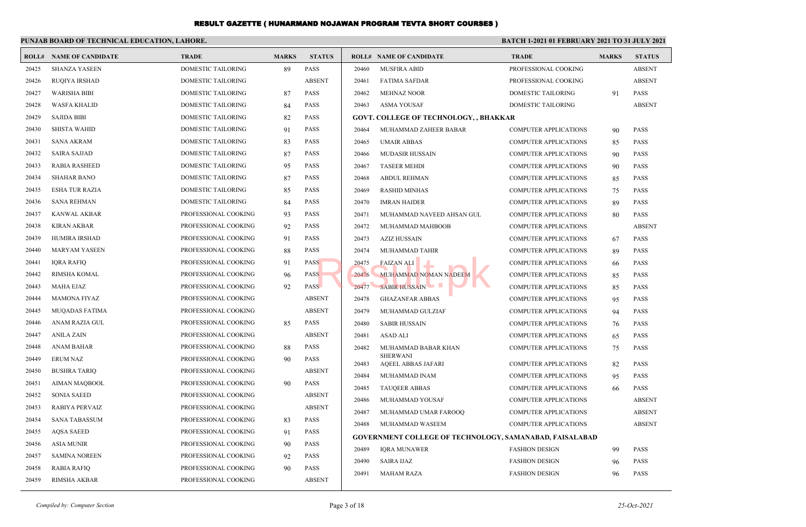|       | PUNJAB BOARD OF TECHNICAL EDUCATION, LAHORE. |                      |              |               | <b>BATCH 1-2021 01 FEBRUARY 2021 TO 31 JULY 2021</b> |                                                                |                              |              |               |
|-------|----------------------------------------------|----------------------|--------------|---------------|------------------------------------------------------|----------------------------------------------------------------|------------------------------|--------------|---------------|
|       | <b>ROLL# NAME OF CANDIDATE</b>               | <b>TRADE</b>         | <b>MARKS</b> | <b>STATUS</b> |                                                      | <b>ROLL# NAME OF CANDIDATE</b>                                 | <b>TRADE</b>                 | <b>MARKS</b> | <b>STATUS</b> |
| 20425 | <b>SHANZA YASEEN</b>                         | DOMESTIC TAILORING   | 89           | PASS          | 20460                                                | <b>MUSFIRA ABID</b>                                            | PROFESSIONAL COOKING         |              | <b>ABSENT</b> |
| 20426 | <b>RUQIYA IRSHAD</b>                         | DOMESTIC TAILORING   |              | <b>ABSENT</b> | 20461                                                | FATIMA SAFDAR                                                  | PROFESSIONAL COOKING         |              | <b>ABSENT</b> |
| 20427 | <b>WARISHA BIBI</b>                          | DOMESTIC TAILORING   | 87           | <b>PASS</b>   | 20462                                                | <b>MEHNAZ NOOR</b>                                             | DOMESTIC TAILORING           | 91           | <b>PASS</b>   |
| 20428 | <b>WASFA KHALID</b>                          | DOMESTIC TAILORING   | 84           | <b>PASS</b>   | 20463                                                | ASMA YOUSAF                                                    | DOMESTIC TAILORING           |              | <b>ABSENT</b> |
| 20429 | <b>SAJIDA BIBI</b>                           | DOMESTIC TAILORING   | 82           | <b>PASS</b>   |                                                      | GOVT. COLLEGE OF TECHNOLOGY, , BHAKKAR                         |                              |              |               |
| 20430 | <b>SHISTA WAHID</b>                          | DOMESTIC TAILORING   | 91           | <b>PASS</b>   | 20464                                                | MUHAMMAD ZAHEER BABAR                                          | <b>COMPUTER APPLICATIONS</b> | 90           | <b>PASS</b>   |
| 20431 | <b>SANA AKRAM</b>                            | DOMESTIC TAILORING   | 83           | PASS          | 20465                                                | UMAIR ABBAS                                                    | <b>COMPUTER APPLICATIONS</b> | 85           | <b>PASS</b>   |
| 20432 | <b>SAIRA SAJJAD</b>                          | DOMESTIC TAILORING   | 87           | <b>PASS</b>   | 20466                                                | <b>MUDASIR HUSSAIN</b>                                         | <b>COMPUTER APPLICATIONS</b> | 90           | <b>PASS</b>   |
| 20433 | <b>RABIA RASHEED</b>                         | DOMESTIC TAILORING   | 95           | <b>PASS</b>   | 20467                                                | <b>TASEER MEHDI</b>                                            | <b>COMPUTER APPLICATIONS</b> | 90           | <b>PASS</b>   |
| 20434 | <b>SHAHAR BANO</b>                           | DOMESTIC TAILORING   | 87           | <b>PASS</b>   | 20468                                                | ABDUL REHMAN                                                   | <b>COMPUTER APPLICATIONS</b> | 85           | <b>PASS</b>   |
| 20435 | ESHA TUR RAZIA                               | DOMESTIC TAILORING   | 85           | <b>PASS</b>   | 20469                                                | <b>RASHID MINHAS</b>                                           | <b>COMPUTER APPLICATIONS</b> | 75           | PASS          |
| 20436 | <b>SANA REHMAN</b>                           | DOMESTIC TAILORING   | 84           | <b>PASS</b>   | 20470                                                | <b>IMRAN HAIDER</b>                                            | <b>COMPUTER APPLICATIONS</b> | 89           | <b>PASS</b>   |
| 20437 | <b>KANWAL AKBAR</b>                          | PROFESSIONAL COOKING | 93           | <b>PASS</b>   | 20471                                                | MUHAMMAD NAVEED AHSAN GUL                                      | <b>COMPUTER APPLICATIONS</b> | 80           | <b>PASS</b>   |
| 20438 | KIRAN AKBAR                                  | PROFESSIONAL COOKING | 92           | <b>PASS</b>   | 20472                                                | MUHAMMAD MAHBOOB                                               | <b>COMPUTER APPLICATIONS</b> |              | <b>ABSENT</b> |
| 20439 | HUMIRA IRSHAD                                | PROFESSIONAL COOKING | 91           | <b>PASS</b>   | 20473                                                | AZIZ HUSSAIN                                                   | <b>COMPUTER APPLICATIONS</b> | 67           | <b>PASS</b>   |
| 20440 | <b>MARYAM YASEEN</b>                         | PROFESSIONAL COOKING | 88           | <b>PASS</b>   | 20474                                                | MUHAMMAD TAHIR                                                 | <b>COMPUTER APPLICATIONS</b> | 89           | <b>PASS</b>   |
| 20441 | IQRA RAFIQ                                   | PROFESSIONAL COOKING | 91           | <b>PASS</b>   | 20475                                                | <b>FAIZAN ALI</b>                                              | <b>COMPUTER APPLICATIONS</b> | 66           | <b>PASS</b>   |
| 20442 | RIMSHA KOMAL                                 | PROFESSIONAL COOKING | 96           | <b>PASS</b>   | 20476                                                | MUHAMMAD NOMAN NADEEM                                          | <b>COMPUTER APPLICATIONS</b> | 85           | <b>PASS</b>   |
| 20443 | <b>MAHA EJAZ</b>                             | PROFESSIONAL COOKING | 92           | PASS          | 20477                                                | <b>SABIR HUSSAIN</b>                                           | <b>COMPUTER APPLICATIONS</b> | 85           | <b>PASS</b>   |
| 20444 | <b>MAMONA FIYAZ</b>                          | PROFESSIONAL COOKING |              | <b>ABSENT</b> | 20478                                                | <b>GHAZANFAR ABBAS</b>                                         | <b>COMPUTER APPLICATIONS</b> | 95           | <b>PASS</b>   |
| 20445 | <b>MUQADAS FATIMA</b>                        | PROFESSIONAL COOKING |              | <b>ABSENT</b> | 20479                                                | MUHAMMAD GULZIAF                                               | <b>COMPUTER APPLICATIONS</b> | 94           | <b>PASS</b>   |
| 20446 | ANAM RAZIA GUL                               | PROFESSIONAL COOKING | 85           | <b>PASS</b>   | 20480                                                | <b>SABIR HUSSAIN</b>                                           | <b>COMPUTER APPLICATIONS</b> | 76           | <b>PASS</b>   |
| 20447 | <b>ANILA ZAIN</b>                            | PROFESSIONAL COOKING |              | <b>ABSENT</b> | 20481                                                | ASAD ALI                                                       | <b>COMPUTER APPLICATIONS</b> | 65           | PASS          |
| 20448 | ANAM BAHAR                                   | PROFESSIONAL COOKING | 88           | <b>PASS</b>   | 20482                                                | MUHAMMAD BABAR KHAN                                            | <b>COMPUTER APPLICATIONS</b> | 75           | <b>PASS</b>   |
| 20449 | <b>ERUM NAZ</b>                              | PROFESSIONAL COOKING | 90           | <b>PASS</b>   | 20483                                                | <b>SHERWANI</b><br>AQEEL ABBAS JAFARI                          | <b>COMPUTER APPLICATIONS</b> | 82           | <b>PASS</b>   |
| 20450 | <b>BUSHRA TARIQ</b>                          | PROFESSIONAL COOKING |              | <b>ABSENT</b> | 20484                                                | MUHAMMAD INAM                                                  | <b>COMPUTER APPLICATIONS</b> | 95           | <b>PASS</b>   |
| 20451 | AIMAN MAQBOOL                                | PROFESSIONAL COOKING | 90           | <b>PASS</b>   | 20485                                                | <b>TAUQEER ABBAS</b>                                           | <b>COMPUTER APPLICATIONS</b> | 66           | PASS          |
| 20452 | <b>SONIA SAEED</b>                           | PROFESSIONAL COOKING |              | <b>ABSENT</b> | 20486                                                | MUHAMMAD YOUSAF                                                | <b>COMPUTER APPLICATIONS</b> |              | <b>ABSENT</b> |
| 20453 | <b>RABIYA PERVAIZ</b>                        | PROFESSIONAL COOKING |              | <b>ABSENT</b> | 20487                                                | MUHAMMAD UMAR FAROOQ                                           | <b>COMPUTER APPLICATIONS</b> |              | <b>ABSENT</b> |
| 20454 | SANA TABASSUM                                | PROFESSIONAL COOKING | 83           | <b>PASS</b>   | 20488                                                | MUHAMMAD WASEEM                                                | <b>COMPUTER APPLICATIONS</b> |              | <b>ABSENT</b> |
| 20455 | <b>AQSA SAEED</b>                            | PROFESSIONAL COOKING | 91           | PASS          |                                                      | <b>GOVERNMENT COLLEGE OF TECHNOLOGY, SAMANABAD, FAISALABAD</b> |                              |              |               |
| 20456 | <b>ASIA MUNIR</b>                            | PROFESSIONAL COOKING | 90           | PASS          | 20489                                                | <b>IORA MUNAWER</b>                                            | <b>FASHION DESIGN</b>        | 99           | PASS          |
| 20457 | <b>SAMINA NOREEN</b>                         | PROFESSIONAL COOKING | 92           | <b>PASS</b>   | 20490                                                | <b>SAIRA IJAZ</b>                                              | <b>FASHION DESIGN</b>        | 96           | PASS          |
| 20458 | RABIA RAFIQ                                  | PROFESSIONAL COOKING | 90           | PASS          | 20491                                                | MAHAM RAZA                                                     | <b>FASHION DESIGN</b>        | 96           | PASS          |
| 20459 | <b>RIMSHA AKBAR</b>                          | PROFESSIONAL COOKING |              | <b>ABSENT</b> |                                                      |                                                                |                              |              |               |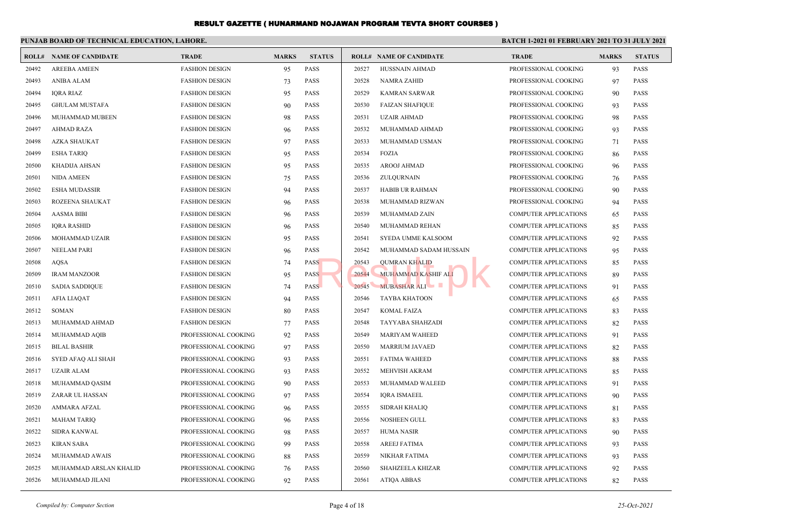|       | PUNJAB BOARD OF TECHNICAL EDUCATION, LAHORE. |                       |              |               | <b>BATCH 1-2021 01 FEBRUARY 2021 TO 31 JULY 2021</b> |                                |                              |              |               |  |  |
|-------|----------------------------------------------|-----------------------|--------------|---------------|------------------------------------------------------|--------------------------------|------------------------------|--------------|---------------|--|--|
| ROLL# | <b>NAME OF CANDIDATE</b>                     | <b>TRADE</b>          | <b>MARKS</b> | <b>STATUS</b> |                                                      | <b>ROLL# NAME OF CANDIDATE</b> | <b>TRADE</b>                 | <b>MARKS</b> | <b>STATUS</b> |  |  |
| 20492 | <b>AREEBA AMEEN</b>                          | <b>FASHION DESIGN</b> | 95           | <b>PASS</b>   | 20527                                                | HUSSNAIN AHMAD                 | PROFESSIONAL COOKING         | 93           | <b>PASS</b>   |  |  |
| 20493 | <b>ANIBA ALAM</b>                            | <b>FASHION DESIGN</b> | 73           | <b>PASS</b>   | 20528                                                | <b>NAMRA ZAHID</b>             | PROFESSIONAL COOKING         | 97           | <b>PASS</b>   |  |  |
| 20494 | <b>IORA RIAZ</b>                             | <b>FASHION DESIGN</b> | 95           | <b>PASS</b>   | 20529                                                | <b>KAMRAN SARWAR</b>           | PROFESSIONAL COOKING         | 90           | <b>PASS</b>   |  |  |
| 20495 | <b>GHULAM MUSTAFA</b>                        | <b>FASHION DESIGN</b> | 90           | <b>PASS</b>   | 20530                                                | <b>FAIZAN SHAFIQUE</b>         | PROFESSIONAL COOKING         | 93           | <b>PASS</b>   |  |  |
| 20496 | MUHAMMAD MUBEEN                              | <b>FASHION DESIGN</b> | 98           | <b>PASS</b>   | 20531                                                | <b>UZAIR AHMAD</b>             | PROFESSIONAL COOKING         | 98           | <b>PASS</b>   |  |  |
| 20497 | <b>AHMAD RAZA</b>                            | <b>FASHION DESIGN</b> | 96           | <b>PASS</b>   | 20532                                                | MUHAMMAD AHMAD                 | PROFESSIONAL COOKING         | 93           | <b>PASS</b>   |  |  |
| 20498 | <b>AZKA SHAUKAT</b>                          | <b>FASHION DESIGN</b> | 97           | <b>PASS</b>   | 20533                                                | MUHAMMAD USMAN                 | PROFESSIONAL COOKING         | 71           | <b>PASS</b>   |  |  |
| 20499 | <b>ESHA TARIO</b>                            | <b>FASHION DESIGN</b> | 95           | <b>PASS</b>   | 20534                                                | <b>FOZIA</b>                   | PROFESSIONAL COOKING         | 86           | <b>PASS</b>   |  |  |
| 20500 | <b>KHADIJA AHSAN</b>                         | <b>FASHION DESIGN</b> | 95           | <b>PASS</b>   | 20535                                                | AROOJ AHMAD                    | PROFESSIONAL COOKING         | 96           | <b>PASS</b>   |  |  |
| 20501 | <b>NIDA AMEEN</b>                            | <b>FASHION DESIGN</b> | 75           | <b>PASS</b>   | 20536                                                | ZULOURNAIN                     | PROFESSIONAL COOKING         | 76           | <b>PASS</b>   |  |  |
| 20502 | <b>ESHA MUDASSIR</b>                         | <b>FASHION DESIGN</b> | 94           | <b>PASS</b>   | 20537                                                | <b>HABIB UR RAHMAN</b>         | PROFESSIONAL COOKING         | 90           | <b>PASS</b>   |  |  |
| 20503 | ROZEENA SHAUKAT                              | <b>FASHION DESIGN</b> | 96           | <b>PASS</b>   | 20538                                                | MUHAMMAD RIZWAN                | PROFESSIONAL COOKING         | 94           | <b>PASS</b>   |  |  |
| 20504 | <b>AASMA BIBI</b>                            | <b>FASHION DESIGN</b> | 96           | <b>PASS</b>   | 20539                                                | MUHAMMAD ZAIN                  | <b>COMPUTER APPLICATIONS</b> | 65           | <b>PASS</b>   |  |  |
| 20505 | <b>IORA RASHID</b>                           | <b>FASHION DESIGN</b> | 96           | <b>PASS</b>   | 20540                                                | MUHAMMAD REHAN                 | <b>COMPUTER APPLICATIONS</b> | 85           | <b>PASS</b>   |  |  |
| 20506 | <b>MOHAMMAD UZAIR</b>                        | <b>FASHION DESIGN</b> | 95           | <b>PASS</b>   | 20541                                                | <b>SYEDA UMME KALSOOM</b>      | <b>COMPUTER APPLICATIONS</b> | 92           | <b>PASS</b>   |  |  |
| 20507 | <b>NEELAM PARI</b>                           | <b>FASHION DESIGN</b> | 96           | <b>PASS</b>   | 20542                                                | MUHAMMAD SADAM HUSSAIN         | <b>COMPUTER APPLICATIONS</b> | 95           | <b>PASS</b>   |  |  |
| 20508 | <b>AQSA</b>                                  | <b>FASHION DESIGN</b> | 74           | <b>PASS</b>   | 20543                                                | <b>QUMRAN KHALID</b>           | <b>COMPUTER APPLICATIONS</b> | 85           | <b>PASS</b>   |  |  |
| 20509 | <b>IRAM MANZOOR</b>                          | <b>FASHION DESIGN</b> | 95           | <b>PASS</b>   | 20544                                                | MUHAMMAD KASHIF ALI            | <b>COMPUTER APPLICATIONS</b> | 89           | <b>PASS</b>   |  |  |
| 20510 | <b>SADIA SADDIQUE</b>                        | <b>FASHION DESIGN</b> | 74           | <b>PASS</b>   | 20545                                                | MUBASHAR ALI                   | <b>COMPUTER APPLICATIONS</b> | 91           | <b>PASS</b>   |  |  |
| 20511 | <b>AFIA LIAQAT</b>                           | <b>FASHION DESIGN</b> | 94           | <b>PASS</b>   | 20546                                                | <b>TAYBA KHATOON</b>           | <b>COMPUTER APPLICATIONS</b> | 65           | <b>PASS</b>   |  |  |
| 20512 | <b>SOMAN</b>                                 | <b>FASHION DESIGN</b> | 80           | <b>PASS</b>   | 20547                                                | <b>KOMAL FAIZA</b>             | <b>COMPUTER APPLICATIONS</b> | 83           | <b>PASS</b>   |  |  |
| 20513 | MUHAMMAD AHMAD                               | <b>FASHION DESIGN</b> | 77           | <b>PASS</b>   | 20548                                                | <b>TAYYABA SHAHZADI</b>        | <b>COMPUTER APPLICATIONS</b> | 82           | <b>PASS</b>   |  |  |
| 20514 | MUHAMMAD AQIB                                | PROFESSIONAL COOKING  | 92           | <b>PASS</b>   | 20549                                                | <b>MARIYAM WAHEED</b>          | <b>COMPUTER APPLICATIONS</b> | 91           | <b>PASS</b>   |  |  |
| 20515 | <b>BILAL BASHIR</b>                          | PROFESSIONAL COOKING  | 97           | <b>PASS</b>   | 20550                                                | <b>MARRIUM JAVAED</b>          | <b>COMPUTER APPLICATIONS</b> | 82           | <b>PASS</b>   |  |  |
| 20516 | SYED AFAQ ALI SHAH                           | PROFESSIONAL COOKING  | 93           | <b>PASS</b>   | 20551                                                | <b>FATIMA WAHEED</b>           | <b>COMPUTER APPLICATIONS</b> | 88           | <b>PASS</b>   |  |  |
| 20517 | <b>UZAIR ALAM</b>                            | PROFESSIONAL COOKING  | 93           | <b>PASS</b>   | 20552                                                | <b>MEHVISH AKRAM</b>           | <b>COMPUTER APPLICATIONS</b> | 85           | <b>PASS</b>   |  |  |
| 20518 | MUHAMMAD QASIM                               | PROFESSIONAL COOKING  | 90           | <b>PASS</b>   | 20553                                                | MUHAMMAD WALEED                | <b>COMPUTER APPLICATIONS</b> | 91           | <b>PASS</b>   |  |  |
| 20519 | ZARAR UL HASSAN                              | PROFESSIONAL COOKING  | 97           | <b>PASS</b>   | 20554                                                | <b>IQRA ISMAEEL</b>            | <b>COMPUTER APPLICATIONS</b> | 90           | <b>PASS</b>   |  |  |
| 20520 | <b>AMMARA AFZAL</b>                          | PROFESSIONAL COOKING  | 96           | <b>PASS</b>   | 20555                                                | <b>SIDRAH KHALIQ</b>           | <b>COMPUTER APPLICATIONS</b> | 81           | <b>PASS</b>   |  |  |
| 20521 | <b>MAHAM TARIQ</b>                           | PROFESSIONAL COOKING  | 96           | <b>PASS</b>   | 20556                                                | NOSHEEN GULL                   | <b>COMPUTER APPLICATIONS</b> | 83           | <b>PASS</b>   |  |  |
| 20522 | <b>SIDRA KANWAL</b>                          | PROFESSIONAL COOKING  | 98           | <b>PASS</b>   | 20557                                                | <b>HUMA NASIR</b>              | <b>COMPUTER APPLICATIONS</b> | -90          | <b>PASS</b>   |  |  |
| 20523 | <b>KIRAN SABA</b>                            | PROFESSIONAL COOKING  | 99           | <b>PASS</b>   | 20558                                                | <b>AREEJ FATIMA</b>            | <b>COMPUTER APPLICATIONS</b> | 93           | <b>PASS</b>   |  |  |
| 20524 | MUHAMMAD AWAIS                               | PROFESSIONAL COOKING  | 88           | <b>PASS</b>   | 20559                                                | NIKHAR FATIMA                  | <b>COMPUTER APPLICATIONS</b> | 93           | <b>PASS</b>   |  |  |
| 20525 | MUHAMMAD ARSLAN KHALID                       | PROFESSIONAL COOKING  | 76           | <b>PASS</b>   | 20560                                                | SHAHZEELA KHIZAR               | <b>COMPUTER APPLICATIONS</b> | 92           | <b>PASS</b>   |  |  |
| 20526 | MUHAMMAD JILANI                              | PROFESSIONAL COOKING  | 92           | <b>PASS</b>   | 20561                                                | <b>ATIOA ABBAS</b>             | <b>COMPUTER APPLICATIONS</b> | 82           | <b>PASS</b>   |  |  |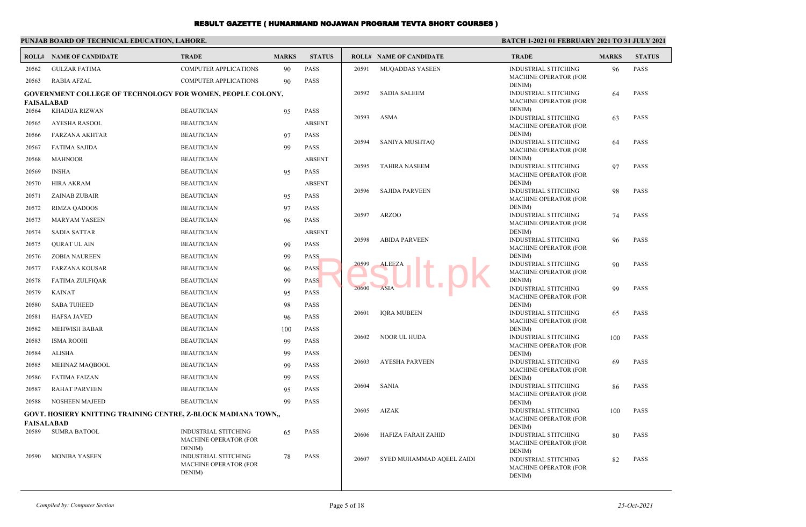#### **PUNJAB BOARD OF TECHNICAL EDUCATION, LAHORE. BATCH 1-2021 01 FEBRUARY 2021 TO 31 JULY 2021 ROLL# NAME OF CANDIDATE TRADE MARKS STATUS ROLL# NAME OF CANDIDATE TRADE MARKS STATUS** 20562 GULZAR FATIMA COMPUTER APPLICATIONS 90 PASS 20563 RABIA AFZAL COMPUTER APPLICATIONS 90 PASS **GOVERNMENT COLLEGE OF TECHNOLOGY FOR WOMEN, PEOPLE COLONY, FAISALABAD** 20564 KHADIJA RIZWAN BEAUTICIAN 95 PASS 20565 AYESHA RASOOL BEAUTICIAN ABSENT 20566 FARZANA AKHTAR BEAUTICIAN 97 PASS 20567 FATIMA SAJIDA BEAUTICIAN 99 PASS 20568 MAHNOOR BEAUTICIAN ABSENT 20569 INSHA BEAUTICIAN 95 PASS 20570 HIRA AKRAM BEAUTICIAN ABSENT 20571 ZAINAB ZUBAIR BEAUTICIAN 95 PASS 20572 RIMZA QADOOS BEAUTICIAN 97 PASS 20573 MARYAM YASEEN BEAUTICIAN 96 PASS 20574 SADIA SATTAR BEAUTICIAN ABSENT 20575 QURAT UL AIN BEAUTICIAN 99 PASS 20576 ZOBIA NAUREEN BEAUTICIAN 99 PASS 20577 FARZANA KOUSAR BEAUTICIAN 96 PASS 20578 FATIMA ZULFIQAR BEAUTICIAN 99 PASS 20579 KAINAT BEAUTICIAN 95 PASS 20580 SABA TUHEED BEAUTICIAN 98 PASS 20581 HAFSA JAVED BEAUTICIAN 96 PASS 20582 MEHWISH BABAR BEAUTICIAN BEAUTICIAN 100 PASS 20583 ISMA ROOHI BEAUTICIAN 99 PASS 20584 ALISHA BEAUTICIAN 99 PASS 20585 MEHNAZ MAQBOOL BEAUTICIAN 99 PASS 20586 FATIMA FAIZAN BEAUTICIAN 99 PASS 20587 RAHAT PARVEEN BEAUTICIAN 95 PASS 20588 NOSHEEN MAJEED BEAUTICIAN 99 PASS **GOVT. HOSIERY KNITTING TRAINING CENTRE, Z-BLOCK MADIANA TOWN,, FAISALABAD** INDUSTRIAL STITCHING 65 PASS MACHINE OPERATOR (FOR DENIM) 20589 SUMRA BATOOL INDUSTRIAL STITCHING 78 PASS MACHINE OPERATOR (FOR DENIM) 20590 MONIBA YASEEN INDUSTRIAL STITCHING 96 PASS MACHINE OPERATOR (FOR DENIM) 20591 MUQADDAS YASEEN INDUSTRIAL STITCHING 64 PASS MACHINE OPERATOR (FOR DENIM) 20592 SADIA SALEEM INDUSTRIAL STITCHING 63 PASS MACHINE OPERATOR (FOR DENIM) 20593 ASMA INDUSTRIAL STITCHING 64 PASS MACHINE OPERATOR (FOR DENIM) 20594 SANIYA MUSHTAQ INDUSTRIAL STITCHING 97 PASS MACHINE OPERATOR (FOR DENIM) 20595 TAHIRA NASEEM INDUSTRIAL STITCHING 98 PASS MACHINE OPERATOR (FOR DENIM) 20596 SAJIDA PARVEEN INDUSTRIAL STITCHING 74 PASS MACHINE OPERATOR (FOR DENIM) 20597 ARZOO INDUSTRIAL STITCHING 96 PASS MACHINE OPERATOR (FOR DENIM) 20598 ABIDA PARVEEN INDUSTRIAL STITCHING 90 PASS MACHINE OPERATOR (FOR DENIM) 20599 ALEEZA INDUSTRIAL STITCHING 99 PASS MACHINE OPERATOR (FOR DENIM) 20600 ASIA INDUSTRIAL STITCHING 65 PASS MACHINE OPERATOR (FOR DENIM) 20601 IQRA MUBEEN INDUSTRIAL STITCHING 100 PASS MACHINE OPERATOR (FOR DENIM) 20602 NOOR UL HUDA INDUSTRIAL STITCHING 69 PASS MACHINE OPERATOR (FOR DENIM) 20603 AYESHA PARVEEN INDUSTRIAL STITCHING 86 PASS MACHINE OPERATOR (FOR DENIM) 20604 SANIA INDUSTRIAL STITCHING 100 PASS MACHINE OPERATOR (FOR DENIM) 20605 AIZAK INDUSTRIAL STITCHING 80 PASS MACHINE OPERATOR (FOR DENIM) 20606 HAFIZA FARAH ZAHID INDUSTRIAL STITCHING 82 PASS MACHINE OPERATOR (FOR DENIM) 20607 SYED MUHAMMAD AQEEL ZAIDI Results of the Cost of the Sun of the Sun of the Sun of the Sun of the Sun of the Sun of the Sun of the Sun of the Sun of the Sun of the Sun of the Sun of the Sun of the Sun of the Sun of the Sun of the Sun of the Sun of t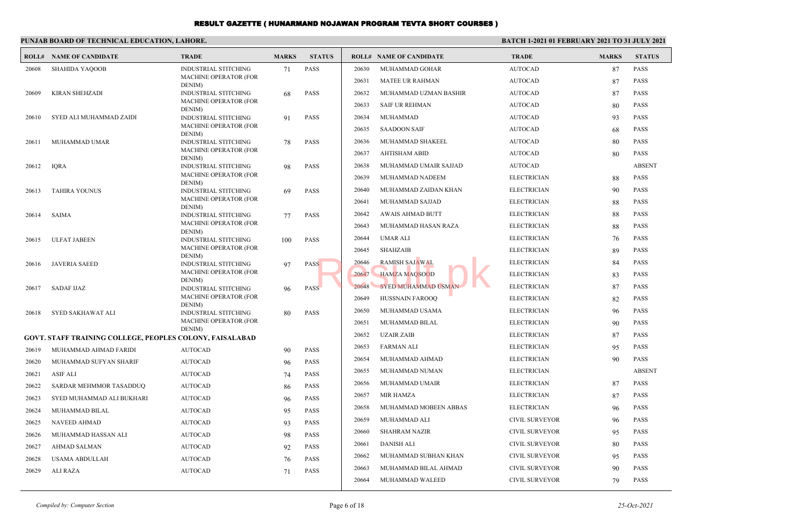|                | PUNJAB BOARD OF TECHNICAL EDUCATION, LAHORE.             |                                        |              |                            | <b>BATCH 1-2021 01 FEBRUARY 2021 TO 31 JULY 2021</b> |                                |                       |              |               |
|----------------|----------------------------------------------------------|----------------------------------------|--------------|----------------------------|------------------------------------------------------|--------------------------------|-----------------------|--------------|---------------|
| ROLL#          | <b>NAME OF CANDIDATE</b>                                 | <b>TRADE</b>                           | <b>MARKS</b> | <b>STATUS</b>              |                                                      | <b>ROLL# NAME OF CANDIDATE</b> | <b>TRADE</b>          | <b>MARKS</b> | <b>STATUS</b> |
| 20608          | <b>SHAHIDA YAQOOB</b>                                    | <b>INDUSTRIAL STITCHING</b>            | 71           | <b>PASS</b>                | 20630                                                | MUHAMMAD GOHAR                 | <b>AUTOCAD</b>        | 87           | <b>PASS</b>   |
|                |                                                          | <b>MACHINE OPERATOR (FOR</b><br>DENIM) |              |                            | 20631                                                | <b>MATEE UR RAHMAN</b>         | <b>AUTOCAD</b>        | 87           | <b>PASS</b>   |
| 20609          | <b>KIRAN SHEHZADI</b>                                    | <b>INDUSTRIAL STITCHING</b>            | 68           | <b>PASS</b>                | 20632                                                | MUHAMMAD UZMAN BASHIR          | <b>AUTOCAD</b>        | 87           | <b>PASS</b>   |
|                |                                                          | <b>MACHINE OPERATOR (FOR</b><br>DENIM) |              |                            | 20633                                                | <b>SAIF UR REHMAN</b>          | <b>AUTOCAD</b>        | 80           | <b>PASS</b>   |
| 20610          | SYED ALI MUHAMMAD ZAIDI                                  | <b>INDUSTRIAL STITCHING</b>            | 91           | <b>PASS</b>                | 20634                                                | <b>MUHAMMAD</b>                | <b>AUTOCAD</b>        | 93           | <b>PASS</b>   |
|                |                                                          | <b>MACHINE OPERATOR (FOR</b><br>DENIM) |              |                            | 20635                                                | <b>SAADOON SAIF</b>            | <b>AUTOCAD</b>        | 68           | <b>PASS</b>   |
| 20611          | MUHAMMAD UMAR                                            | <b>INDUSTRIAL STITCHING</b>            | 78           | <b>PASS</b>                | 20636                                                | MUHAMMAD SHAKEEL               | <b>AUTOCAD</b>        | 80           | <b>PASS</b>   |
|                |                                                          | <b>MACHINE OPERATOR (FOR</b><br>DENIM) |              |                            | 20637                                                | <b>AHTISHAM ABID</b>           | <b>AUTOCAD</b>        | 80           | <b>PASS</b>   |
| 20612          | <b>IQRA</b>                                              | <b>INDUSTRIAL STITCHING</b>            | 98           | <b>PASS</b>                | 20638                                                | MUHAMMAD UMAIR SAJJAD          | <b>AUTOCAD</b>        |              | <b>ABSENT</b> |
|                |                                                          | <b>MACHINE OPERATOR (FOR</b>           |              |                            | 20639                                                | MUHAMMAD NADEEM                | <b>ELECTRICIAN</b>    | 88           | <b>PASS</b>   |
| 20613          | <b>TAHIRA YOUNUS</b>                                     | DENIM)<br><b>INDUSTRIAL STITCHING</b>  | 69           | <b>PASS</b>                | 20640                                                | MUHAMMAD ZAIDAN KHAN           | <b>ELECTRICIAN</b>    | 90           | <b>PASS</b>   |
|                |                                                          | <b>MACHINE OPERATOR (FOR</b>           |              |                            | 20641                                                | MUHAMMAD SAJJAD                | <b>ELECTRICIAN</b>    | 88           | <b>PASS</b>   |
| 20614          | SAIMA                                                    | DENIM)<br><b>INDUSTRIAL STITCHING</b>  | 77           | <b>PASS</b>                | 20642                                                | AWAIS AHMAD BUTT               | <b>ELECTRICIAN</b>    | 88           | <b>PASS</b>   |
|                |                                                          | <b>MACHINE OPERATOR (FOR</b>           |              |                            | 20643                                                | MUHAMMAD HASAN RAZA            | <b>ELECTRICIAN</b>    | 88           | <b>PASS</b>   |
| 20615          | <b>ULFAT JABEEN</b>                                      | DENIM)<br><b>INDUSTRIAL STITCHING</b>  | 100          | <b>PASS</b>                | 20644                                                | <b>UMAR ALI</b>                | <b>ELECTRICIAN</b>    | 76           | <b>PASS</b>   |
|                |                                                          | <b>MACHINE OPERATOR (FOR</b>           |              |                            | 20645                                                | <b>SHAHZAIB</b>                | <b>ELECTRICIAN</b>    | 89           | <b>PASS</b>   |
| 20616          | <b>JAVERIA SAEED</b>                                     | DENIM)<br><b>INDUSTRIAL STITCHING</b>  | 97           | <b>PASS</b>                | 20646                                                | RAMISH SAJAWAL                 | <b>ELECTRICIAN</b>    | 84           | <b>PASS</b>   |
|                |                                                          | <b>MACHINE OPERATOR (FOR</b>           |              |                            | 20647                                                | <b>HAMZA MAQSOOD</b>           | <b>ELECTRICIAN</b>    | 83           | <b>PASS</b>   |
| 20617          | <b>SADAF IJAZ</b>                                        | DENIM)<br><b>INDUSTRIAL STITCHING</b>  | 96           | <b>PASS</b>                | 20648                                                | <b>SYED MUHAMMAD USMAN</b>     | <b>ELECTRICIAN</b>    | 87           | <b>PASS</b>   |
|                |                                                          | <b>MACHINE OPERATOR (FOR</b>           |              |                            | 20649                                                | HUSSNAIN FAROOQ                | <b>ELECTRICIAN</b>    | 82           | <b>PASS</b>   |
| 20618          | SYED SAKHAWAT ALI                                        | DENIM)<br><b>INDUSTRIAL STITCHING</b>  | 80           | <b>PASS</b>                | 20650                                                | MUHAMMAD USAMA                 | <b>ELECTRICIAN</b>    | 96           | <b>PASS</b>   |
|                |                                                          | <b>MACHINE OPERATOR (FOR</b>           |              |                            | 20651                                                | MUHAMMAD BILAL                 | <b>ELECTRICIAN</b>    | 90           | <b>PASS</b>   |
|                | GOVT. STAFF TRAINING COLLEGE, PEOPLES COLONY, FAISALABAD | DENIM)                                 |              |                            | 20652                                                | <b>UZAIR ZAIB</b>              | <b>ELECTRICIAN</b>    | 87           | <b>PASS</b>   |
| 20619          | MUHAMMAD AHMAD FARIDI                                    | <b>AUTOCAD</b>                         | 90           | PASS                       | 20653                                                | <b>FARMAN ALI</b>              | <b>ELECTRICIAN</b>    | 95           | <b>PASS</b>   |
| 20620          | MUHAMMAD SUFYAN SHARIF                                   | <b>AUTOCAD</b>                         | 96           | <b>PASS</b>                | 20654                                                | MUHAMMAD AHMAD                 | <b>ELECTRICIAN</b>    | 90           | <b>PASS</b>   |
| 20621          | <b>ASIF ALI</b>                                          | <b>AUTOCAD</b>                         | 74           | <b>PASS</b>                | 20655                                                | MUHAMMAD NUMAN                 | <b>ELECTRICIAN</b>    |              | <b>ABSENT</b> |
| 20622          | SARDAR MEHMMOR TASADDUQ                                  | <b>AUTOCAD</b>                         | 86           | <b>PASS</b>                | 20656                                                | MUHAMMAD UMAIR                 | <b>ELECTRICIAN</b>    | 87           | <b>PASS</b>   |
| 20623          | SYED MUHAMMAD ALI BUKHARI                                | <b>AUTOCAD</b>                         | 96           | <b>PASS</b>                | 20657                                                | <b>MIR HAMZA</b>               | <b>ELECTRICIAN</b>    | 87           | <b>PASS</b>   |
| 20624          | MUHAMMAD BILAL                                           | <b>AUTOCAD</b>                         |              | <b>PASS</b>                | 20658                                                | MUHAMMAD MOBEEN ABBAS          | <b>ELECTRICIAN</b>    | 96           | <b>PASS</b>   |
| 20625          | <b>NAVEED AHMAD</b>                                      | <b>AUTOCAD</b>                         | 95           | <b>PASS</b>                | 20659                                                | <b>MUHAMMAD ALI</b>            | <b>CIVIL SURVEYOR</b> | 96           | <b>PASS</b>   |
|                |                                                          |                                        | 93           |                            | 20660                                                | <b>SHAHRAM NAZIR</b>           | <b>CIVIL SURVEYOR</b> | 95           | <b>PASS</b>   |
| 20626          | MUHAMMAD HASSAN ALI                                      | <b>AUTOCAD</b>                         | 98           | <b>PASS</b>                | 20661                                                | <b>DANISH ALI</b>              | <b>CIVIL SURVEYOR</b> | 80           | <b>PASS</b>   |
| 20627          | <b>AHMAD SALMAN</b>                                      | <b>AUTOCAD</b>                         | 92           | <b>PASS</b>                | 20662                                                | MUHAMMAD SUBHAN KHAN           | <b>CIVIL SURVEYOR</b> | 95           | <b>PASS</b>   |
| 20628<br>20629 | <b>USAMA ABDULLAH</b><br><b>ALI RAZA</b>                 | <b>AUTOCAD</b><br><b>AUTOCAD</b>       | 76           | <b>PASS</b><br><b>PASS</b> | 20663                                                | MUHAMMAD BILAL AHMAD           | <b>CIVIL SURVEYOR</b> | 90           | <b>PASS</b>   |
|                |                                                          |                                        | 71           |                            | 20664                                                | MUHAMMAD WALEED                | <b>CIVIL SURVEYOR</b> | 79           | <b>PASS</b>   |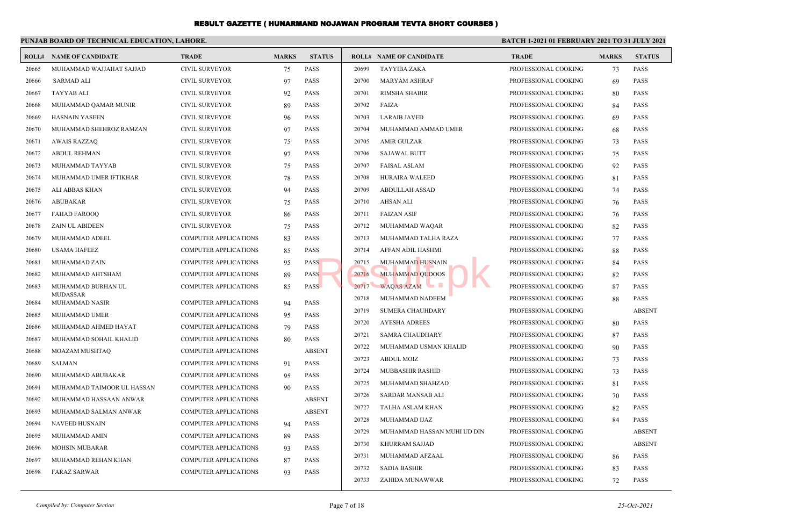|       | PUNJAB BOARD OF TECHNICAL EDUCATION, LAHORE. |                              |              |               |       |                                | <b>BATCH 1-2021 01 FEBRUARY 2021 TO 31 JULY 2021</b> |              |               |  |
|-------|----------------------------------------------|------------------------------|--------------|---------------|-------|--------------------------------|------------------------------------------------------|--------------|---------------|--|
|       | <b>ROLL# NAME OF CANDIDATE</b>               | <b>TRADE</b>                 | <b>MARKS</b> | <b>STATUS</b> |       | <b>ROLL# NAME OF CANDIDATE</b> | <b>TRADE</b>                                         | <b>MARKS</b> | <b>STATUS</b> |  |
| 20665 | MUHAMMAD WAJJAHAT SAJJAD                     | <b>CIVIL SURVEYOR</b>        | 75           | <b>PASS</b>   | 20699 | TAYYIBA ZAKA                   | PROFESSIONAL COOKING                                 | 73           | <b>PASS</b>   |  |
| 20666 | <b>SARMAD ALI</b>                            | <b>CIVIL SURVEYOR</b>        | 97           | <b>PASS</b>   | 20700 | <b>MARYAM ASHRAF</b>           | PROFESSIONAL COOKING                                 | 69           | <b>PASS</b>   |  |
| 20667 | <b>TAYYAB ALI</b>                            | <b>CIVIL SURVEYOR</b>        | 92           | <b>PASS</b>   | 20701 | <b>RIMSHA SHABIR</b>           | PROFESSIONAL COOKING                                 | 80           | <b>PASS</b>   |  |
| 20668 | MUHAMMAD QAMAR MUNIR                         | <b>CIVIL SURVEYOR</b>        | 89           | <b>PASS</b>   | 20702 | FAIZA                          | PROFESSIONAL COOKING                                 | 84           | <b>PASS</b>   |  |
| 20669 | <b>HASNAIN YASEEN</b>                        | <b>CIVIL SURVEYOR</b>        | 96           | <b>PASS</b>   | 20703 | <b>LARAIB JAVED</b>            | PROFESSIONAL COOKING                                 | 69           | <b>PASS</b>   |  |
| 20670 | MUHAMMAD SHEHROZ RAMZAN                      | <b>CIVIL SURVEYOR</b>        | 97           | <b>PASS</b>   | 20704 | MUHAMMAD AMMAD UMER            | PROFESSIONAL COOKING                                 | 68           | <b>PASS</b>   |  |
| 20671 | <b>AWAIS RAZZAQ</b>                          | <b>CIVIL SURVEYOR</b>        | 75           | <b>PASS</b>   | 20705 | <b>AMIR GULZAR</b>             | PROFESSIONAL COOKING                                 | 73           | <b>PASS</b>   |  |
| 20672 | <b>ABDUL REHMAN</b>                          | <b>CIVIL SURVEYOR</b>        | 97           | <b>PASS</b>   | 20706 | <b>SAJAWAL BUTT</b>            | PROFESSIONAL COOKING                                 | 75           | <b>PASS</b>   |  |
| 20673 | MUHAMMAD TAYYAB                              | <b>CIVIL SURVEYOR</b>        | 75           | <b>PASS</b>   | 20707 | <b>FAISAL ASLAM</b>            | PROFESSIONAL COOKING                                 | 92           | <b>PASS</b>   |  |
| 20674 | MUHAMMAD UMER IFTIKHAR                       | <b>CIVIL SURVEYOR</b>        | 78           | <b>PASS</b>   | 20708 | HURAIRA WALEED                 | PROFESSIONAL COOKING                                 | 81           | <b>PASS</b>   |  |
| 20675 | ALI ABBAS KHAN                               | <b>CIVIL SURVEYOR</b>        | 94           | <b>PASS</b>   | 20709 | <b>ABDULLAH ASSAD</b>          | PROFESSIONAL COOKING                                 | 74           | <b>PASS</b>   |  |
| 20676 | ABUBAKAR                                     | <b>CIVIL SURVEYOR</b>        | 75           | <b>PASS</b>   | 20710 | <b>AHSAN ALI</b>               | PROFESSIONAL COOKING                                 | 76           | <b>PASS</b>   |  |
| 20677 | <b>FAHAD FAROOO</b>                          | <b>CIVIL SURVEYOR</b>        | 86           | <b>PASS</b>   | 20711 | <b>FAIZAN ASIF</b>             | PROFESSIONAL COOKING                                 | 76           | <b>PASS</b>   |  |
| 20678 | <b>ZAIN UL ABIDEEN</b>                       | <b>CIVIL SURVEYOR</b>        | 75           | <b>PASS</b>   | 20712 | MUHAMMAD WAQAR                 | PROFESSIONAL COOKING                                 | 82           | <b>PASS</b>   |  |
| 20679 | MUHAMMAD ADEEL                               | <b>COMPUTER APPLICATIONS</b> | 83           | <b>PASS</b>   | 20713 | MUHAMMAD TALHA RAZA            | PROFESSIONAL COOKING                                 | 77           | <b>PASS</b>   |  |
| 20680 | <b>USAMA HAFEEZ</b>                          | <b>COMPUTER APPLICATIONS</b> | 85           | <b>PASS</b>   | 20714 | <b>AFFAN ADIL HASHMI</b>       | PROFESSIONAL COOKING                                 | 88           | <b>PASS</b>   |  |
| 20681 | MUHAMMAD ZAIN                                | <b>COMPUTER APPLICATIONS</b> | 95           | <b>PASS</b>   | 20715 | <b>MUHAMMAD HUSNAIN</b>        | PROFESSIONAL COOKING                                 | 84           | <b>PASS</b>   |  |
| 20682 | MUHAMMAD AHTSHAM                             | <b>COMPUTER APPLICATIONS</b> | 89           | <b>PASS</b>   | 20716 | <b>MUHAMMAD OUDOOS</b>         | PROFESSIONAL COOKING                                 | 82           | <b>PASS</b>   |  |
| 20683 | MUHAMMAD BURHAN UL                           | <b>COMPUTER APPLICATIONS</b> | 85           | <b>PASS</b>   | 20717 | WAQAS AZAM                     | PROFESSIONAL COOKING                                 | 87           | <b>PASS</b>   |  |
| 20684 | <b>MUDASSAR</b><br>MUHAMMAD NASIR            | <b>COMPUTER APPLICATIONS</b> | 94           | <b>PASS</b>   | 20718 | MUHAMMAD NADEEM                | PROFESSIONAL COOKING                                 | 88           | <b>PASS</b>   |  |
| 20685 | MUHAMMAD UMER                                | <b>COMPUTER APPLICATIONS</b> | 95           | <b>PASS</b>   | 20719 | <b>SUMERA CHAUHDARY</b>        | PROFESSIONAL COOKING                                 |              | <b>ABSENT</b> |  |
| 20686 | MUHAMMAD AHMED HAYAT                         | <b>COMPUTER APPLICATIONS</b> | 79           | <b>PASS</b>   | 20720 | <b>AYESHA ADREES</b>           | PROFESSIONAL COOKING                                 | 80           | <b>PASS</b>   |  |
| 20687 | MUHAMMAD SOHAIL KHALID                       | <b>COMPUTER APPLICATIONS</b> | 80           | <b>PASS</b>   | 20721 | <b>SAMRA CHAUDHARY</b>         | PROFESSIONAL COOKING                                 | 87           | <b>PASS</b>   |  |
| 20688 | MOAZAM MUSHTAQ                               | <b>COMPUTER APPLICATIONS</b> |              | <b>ABSENT</b> | 20722 | MUHAMMAD USMAN KHALID          | PROFESSIONAL COOKING                                 | 90           | <b>PASS</b>   |  |
| 20689 | <b>SALMAN</b>                                | <b>COMPUTER APPLICATIONS</b> | 91           | <b>PASS</b>   | 20723 | <b>ABDUL MOIZ</b>              | PROFESSIONAL COOKING                                 | 73           | <b>PASS</b>   |  |
| 20690 | MUHAMMAD ABUBAKAR                            | <b>COMPUTER APPLICATIONS</b> | 95           | <b>PASS</b>   | 20724 | MUBBASHIR RASHID               | PROFESSIONAL COOKING                                 | 73           | <b>PASS</b>   |  |
| 20691 | MUHAMMAD TAIMOOR UL HASSAN                   | <b>COMPUTER APPLICATIONS</b> | 90           | <b>PASS</b>   | 20725 | MUHAMMAD SHAHZAD               | PROFESSIONAL COOKING                                 | 81           | <b>PASS</b>   |  |
| 20692 | MUHAMMAD HASSAAN ANWAR                       | <b>COMPUTER APPLICATIONS</b> |              | <b>ABSENT</b> | 20726 | SARDAR MANSAB ALI              | PROFESSIONAL COOKING                                 | 70           | <b>PASS</b>   |  |
| 20693 | MUHAMMAD SALMAN ANWAR                        | <b>COMPUTER APPLICATIONS</b> |              | <b>ABSENT</b> | 20727 | TALHA ASLAM KHAN               | PROFESSIONAL COOKING                                 | 82           | <b>PASS</b>   |  |
| 20694 | <b>NAVEED HUSNAIN</b>                        | <b>COMPUTER APPLICATIONS</b> | 94           | <b>PASS</b>   | 20728 | MUHAMMAD IJAZ                  | PROFESSIONAL COOKING                                 | 84           | <b>PASS</b>   |  |
| 20695 | MUHAMMAD AMIN                                | <b>COMPUTER APPLICATIONS</b> | 89           | <b>PASS</b>   | 20729 | MUHAMMAD HASSAN MUHI UD DIN    | PROFESSIONAL COOKING                                 |              | <b>ABSENT</b> |  |
| 20696 | <b>MOHSIN MUBARAR</b>                        | <b>COMPUTER APPLICATIONS</b> | 93           | <b>PASS</b>   | 20730 | KHURRAM SAJJAD                 | PROFESSIONAL COOKING                                 |              | <b>ABSENT</b> |  |
| 20697 | MUHAMMAD REHAN KHAN                          | <b>COMPUTER APPLICATIONS</b> | 87           | <b>PASS</b>   | 20731 | MUHAMMAD AFZAAL                | PROFESSIONAL COOKING                                 | 86           | <b>PASS</b>   |  |
| 20698 | FARAZ SARWAR                                 | <b>COMPUTER APPLICATIONS</b> | 93           | <b>PASS</b>   | 20732 | <b>SADIA BASHIR</b>            | PROFESSIONAL COOKING                                 | 83           | <b>PASS</b>   |  |
|       |                                              |                              |              |               | 20733 | ZAHIDA MUNAWWAR                | PROFESSIONAL COOKING                                 | 72           | <b>PASS</b>   |  |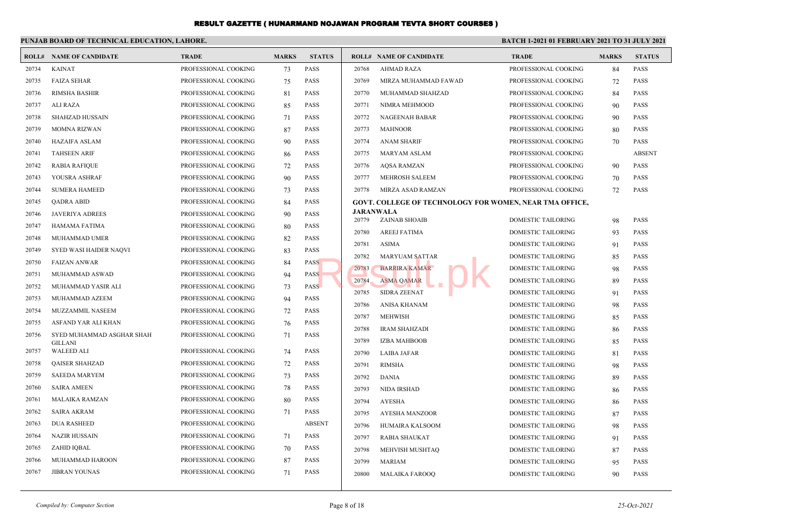|       | PUNJAB BOARD OF TECHNICAL EDUCATION, LAHORE. |                      |              |               | <b>BATCH 1-2021 01 FEBRUARY 2021 TO 31 JULY 2021</b> |                                                                |                                                        |              |                            |  |
|-------|----------------------------------------------|----------------------|--------------|---------------|------------------------------------------------------|----------------------------------------------------------------|--------------------------------------------------------|--------------|----------------------------|--|
|       | <b>ROLL# NAME OF CANDIDATE</b>               | <b>TRADE</b>         | <b>MARKS</b> | <b>STATUS</b> |                                                      | <b>ROLL# NAME OF CANDIDATE</b>                                 | <b>TRADE</b>                                           | <b>MARKS</b> | <b>STATUS</b>              |  |
| 20734 | <b>KAINAT</b>                                | PROFESSIONAL COOKING | 73           | <b>PASS</b>   | 20768                                                | <b>AHMAD RAZA</b>                                              | PROFESSIONAL COOKING                                   | 84           | <b>PASS</b>                |  |
| 20735 | <b>FAIZA SEHAR</b>                           | PROFESSIONAL COOKING | 75           | <b>PASS</b>   | 20769                                                | MIRZA MUHAMMAD FAWAD                                           | PROFESSIONAL COOKING                                   | 72           | <b>PASS</b>                |  |
| 20736 | <b>RIMSHA BASHIR</b>                         | PROFESSIONAL COOKING | 81           | <b>PASS</b>   | 20770                                                | MUHAMMAD SHAHZAD                                               | PROFESSIONAL COOKING                                   | 84           | <b>PASS</b>                |  |
| 20737 | ALI RAZA                                     | PROFESSIONAL COOKING | 85           | <b>PASS</b>   | 20771                                                | NIMRA MEHMOOD                                                  | PROFESSIONAL COOKING                                   | 90           | <b>PASS</b>                |  |
| 20738 | <b>SHAHZAD HUSSAIN</b>                       | PROFESSIONAL COOKING | 71           | <b>PASS</b>   | 20772                                                | <b>NAGEENAH BABAR</b>                                          | PROFESSIONAL COOKING                                   | 90           | <b>PASS</b>                |  |
| 20739 | <b>MOMNA RIZWAN</b>                          | PROFESSIONAL COOKING | 87           | PASS          | 20773                                                | <b>MAHNOOR</b>                                                 | PROFESSIONAL COOKING                                   | 80           | PASS                       |  |
| 20740 | HAZAIFA ASLAM                                | PROFESSIONAL COOKING | 90           | <b>PASS</b>   | 20774                                                | <b>ANAM SHARIF</b>                                             | PROFESSIONAL COOKING                                   | 70           | <b>PASS</b>                |  |
| 20741 | <b>TAHSEEN ARIF</b>                          | PROFESSIONAL COOKING | 86           | <b>PASS</b>   | 20775                                                | <b>MARYAM ASLAM</b>                                            | PROFESSIONAL COOKING                                   |              | <b>ABSENT</b>              |  |
| 20742 | <b>RABIA RAFIQUE</b>                         | PROFESSIONAL COOKING | 72           | <b>PASS</b>   | 20776                                                | <b>AOSA RAMZAN</b>                                             | PROFESSIONAL COOKING                                   | 90           | <b>PASS</b>                |  |
| 20743 | YOUSRA ASHRAF                                | PROFESSIONAL COOKING | 90           | <b>PASS</b>   | 20777                                                | <b>MEHROSH SALEEM</b>                                          | PROFESSIONAL COOKING                                   | 70           | <b>PASS</b>                |  |
| 20744 | <b>SUMERA HAMEED</b>                         | PROFESSIONAL COOKING | 73           | <b>PASS</b>   | 20778                                                | MIRZA ASAD RAMZAN                                              | PROFESSIONAL COOKING                                   | 72           | <b>PASS</b>                |  |
| 20745 | <b>OADRA ABID</b>                            | PROFESSIONAL COOKING | 84           | <b>PASS</b>   |                                                      | <b>GOVT. COLLEGE OF TECHNOLOGY FOR WOMEN, NEAR TMA OFFICE,</b> |                                                        |              |                            |  |
| 20746 | <b>JAVERIYA ADREES</b>                       | PROFESSIONAL COOKING | 90           | <b>PASS</b>   | 20779                                                | <b>JARANWALA</b>                                               | <b>DOMESTIC TAILORING</b>                              |              | <b>PASS</b>                |  |
| 20747 | HAMAMA FATIMA                                | PROFESSIONAL COOKING | 80           | <b>PASS</b>   | 20780                                                | <b>ZAINAB SHOAIB</b>                                           |                                                        | 98           |                            |  |
| 20748 | <b>MUHAMMAD UMER</b>                         | PROFESSIONAL COOKING | 82           | <b>PASS</b>   | 20781                                                | <b>AREEJ FATIMA</b><br><b>ASIMA</b>                            | <b>DOMESTIC TAILORING</b><br><b>DOMESTIC TAILORING</b> | 93           | <b>PASS</b>                |  |
| 20749 | <b>SYED WASI HAIDER NAOVI</b>                | PROFESSIONAL COOKING | 83           | <b>PASS</b>   |                                                      |                                                                |                                                        | 91           | <b>PASS</b>                |  |
| 20750 | <b>FAIZAN ANWAR</b>                          | PROFESSIONAL COOKING | 84           | <b>PASS</b>   | 20782<br>20783                                       | <b>MARYUAM SATTAR</b>                                          | <b>DOMESTIC TAILORING</b>                              | 85           | <b>PASS</b><br><b>PASS</b> |  |
| 20751 | MUHAMMAD ASWAD                               | PROFESSIONAL COOKING | 94           | <b>PASS</b>   | 20784                                                | <b>BARRIRA KAMAR</b><br><b>ASMA QAMAR</b>                      | <b>DOMESTIC TAILORING</b><br><b>DOMESTIC TAILORING</b> | 98           | <b>PASS</b>                |  |
| 20752 | MUHAMMAD YASIR ALI                           | PROFESSIONAL COOKING | 73           | <b>PASS</b>   |                                                      |                                                                |                                                        | 89           | <b>PASS</b>                |  |
| 20753 | MUHAMMAD AZEEM                               | PROFESSIONAL COOKING | 94           | PASS          | 20785<br>20786                                       | <b>SIDRA ZEENAT</b><br>ANISA KHANAM                            | DOMESTIC TAILORING<br>DOMESTIC TAILORING               | 91<br>98     | <b>PASS</b>                |  |
| 20754 | MUZZAMMIL NASEEM                             | PROFESSIONAL COOKING | 72           | <b>PASS</b>   | 20787                                                | <b>MEHWISH</b>                                                 | DOMESTIC TAILORING                                     | 85           | <b>PASS</b>                |  |
| 20755 | ASFAND YAR ALI KHAN                          | PROFESSIONAL COOKING | 76           | <b>PASS</b>   | 20788                                                | <b>IRAM SHAHZADI</b>                                           | DOMESTIC TAILORING                                     |              | <b>PASS</b>                |  |
| 20756 | SYED MUHAMMAD ASGHAR SHAH                    | PROFESSIONAL COOKING | 71           | <b>PASS</b>   | 20789                                                | <b>IZBA MAHBOOB</b>                                            | DOMESTIC TAILORING                                     | 86<br>85     | <b>PASS</b>                |  |
| 20757 | <b>GILLANI</b><br><b>WALEED ALI</b>          | PROFESSIONAL COOKING | 74           | <b>PASS</b>   | 20790                                                | <b>LAIBA JAFAR</b>                                             | DOMESTIC TAILORING                                     |              | <b>PASS</b>                |  |
| 20758 | <b>QAISER SHAHZAD</b>                        | PROFESSIONAL COOKING | 72           | <b>PASS</b>   | 20791                                                | <b>RIMSHA</b>                                                  | DOMESTIC TAILORING                                     | 81<br>98     | PASS                       |  |
| 20759 | <b>SAEEDA MARYEM</b>                         | PROFESSIONAL COOKING | 73           | <b>PASS</b>   | 20792                                                | <b>DANIA</b>                                                   | DOMESTIC TAILORING                                     | 89           | PASS                       |  |
| 20760 | <b>SAIRA AMEEN</b>                           | PROFESSIONAL COOKING | 78           | <b>PASS</b>   | 20793                                                | <b>NIDA IRSHAD</b>                                             | <b>DOMESTIC TAILORING</b>                              | 86           | <b>PASS</b>                |  |
| 20761 | MALAIKA RAMZAN                               | PROFESSIONAL COOKING | 80           | <b>PASS</b>   | 20794                                                | <b>AYESHA</b>                                                  | <b>DOMESTIC TAILORING</b>                              | 86           | <b>PASS</b>                |  |
| 20762 | <b>SAIRA AKRAM</b>                           | PROFESSIONAL COOKING | 71           | <b>PASS</b>   | 20795                                                | AYESHA MANZOOR                                                 | DOMESTIC TAILORING                                     | 87           | <b>PASS</b>                |  |
| 20763 | <b>DUA RASHEED</b>                           | PROFESSIONAL COOKING |              | <b>ABSENT</b> | 20796                                                | HUMAIRA KALSOOM                                                | DOMESTIC TAILORING                                     |              | <b>PASS</b>                |  |
| 20764 | <b>NAZIR HUSSAIN</b>                         | PROFESSIONAL COOKING | 71           | <b>PASS</b>   | 20797                                                | <b>RABIA SHAUKAT</b>                                           | <b>DOMESTIC TAILORING</b>                              | 98           | <b>PASS</b>                |  |
| 20765 | ZAHID IQBAL                                  | PROFESSIONAL COOKING | 70           | PASS          | 20798                                                | MEHVISH MUSHTAQ                                                | DOMESTIC TAILORING                                     | 91           | <b>PASS</b>                |  |
| 20766 | MUHAMMAD HAROON                              | PROFESSIONAL COOKING | 87           | <b>PASS</b>   | 20799                                                | <b>MARIAM</b>                                                  | DOMESTIC TAILORING                                     | 87           | <b>PASS</b>                |  |
| 20767 | <b>JIBRAN YOUNAS</b>                         | PROFESSIONAL COOKING | 71           | <b>PASS</b>   | 20800                                                | <b>MALAIKA FAROOO</b>                                          | DOMESTIC TAILORING                                     | 95           | <b>PASS</b>                |  |
|       |                                              |                      |              |               |                                                      |                                                                |                                                        | 90           |                            |  |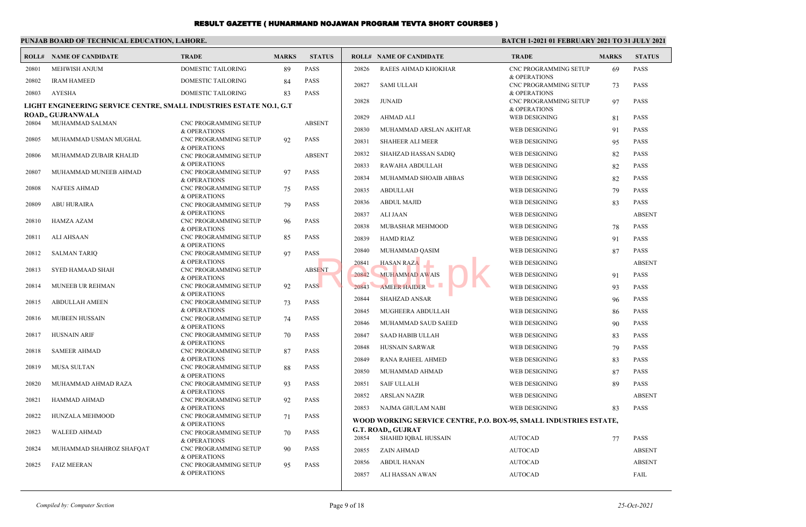## **PUNJAB BOARD OF TECHNICAL EDUCATION, LAHORE.**

## **BATCH 1-2021 01 FEBRUARY 2021 TO 31 JULY 2021**

|       | <b>ROLL# NAME OF CANDIDATE</b>                                      | <b>TRADE</b>                                     | <b>MARKS</b> | <b>STATUS</b> |       | <b>ROLL# NAME OF CANDIDATE</b>                                     | <b>TRADE</b>                                 | <b>MARKS</b> | <b>STATUS</b> |
|-------|---------------------------------------------------------------------|--------------------------------------------------|--------------|---------------|-------|--------------------------------------------------------------------|----------------------------------------------|--------------|---------------|
| 20801 | <b>MEHWISH ANJUM</b>                                                | <b>DOMESTIC TAILORING</b>                        | 89           | <b>PASS</b>   | 20826 | RAEES AHMAD KHOKHAR                                                | CNC PROGRAMMING SETUP                        | 69           | <b>PASS</b>   |
| 20802 | <b>IRAM HAMEED</b>                                                  | <b>DOMESTIC TAILORING</b>                        | 84           | <b>PASS</b>   | 20827 | <b>SAMI ULLAH</b>                                                  | & OPERATIONS<br><b>CNC PROGRAMMING SETUP</b> |              | <b>PASS</b>   |
| 20803 | <b>AYESHA</b>                                                       | <b>DOMESTIC TAILORING</b>                        | 83           | <b>PASS</b>   |       |                                                                    | & OPERATIONS                                 | 73           |               |
|       | LIGHT ENGINEERING SERVICE CENTRE, SMALL INDUSTRIES ESTATE NO.1, G.T |                                                  |              |               | 20828 | <b>JUNAID</b>                                                      | CNC PROGRAMMING SETUP                        | 97           | <b>PASS</b>   |
|       | <b>ROAD., GUJRANWALA</b>                                            |                                                  |              |               |       |                                                                    | & OPERATIONS                                 |              |               |
| 20804 | MUHAMMAD SALMAN                                                     | <b>CNC PROGRAMMING SETUP</b>                     |              | <b>ABSENT</b> | 20829 | <b>AHMAD ALI</b>                                                   | WEB DESIGNING                                | 81           | <b>PASS</b>   |
|       |                                                                     | & OPERATIONS                                     |              |               | 20830 | MUHAMMAD ARSLAN AKHTAR                                             | WEB DESIGNING                                | 91           | <b>PASS</b>   |
| 20805 | MUHAMMAD USMAN MUGHAL                                               | CNC PROGRAMMING SETUP<br>& OPERATIONS            | 92           | <b>PASS</b>   | 20831 | SHAHEER ALI MEER                                                   | <b>WEB DESIGNING</b>                         | 95           | <b>PASS</b>   |
| 20806 | MUHAMMAD ZUBAIR KHALID                                              | CNC PROGRAMMING SETUP                            |              | <b>ABSENT</b> | 20832 | SHAHZAD HASSAN SADIO                                               | <b>WEB DESIGNING</b>                         | 82           | <b>PASS</b>   |
|       |                                                                     | <b>&amp; OPERATIONS</b>                          |              |               | 20833 | RAWAHA ABDULLAH                                                    | <b>WEB DESIGNING</b>                         | 82           | <b>PASS</b>   |
| 20807 | MUHAMMAD MUNEEB AHMAD                                               | CNC PROGRAMMING SETUP                            | 97           | PASS          | 20834 | MUHAMMAD SHOAIB ABBAS                                              | WEB DESIGNING                                | 82           | <b>PASS</b>   |
| 20808 | <b>NAFEES AHMAD</b>                                                 | & OPERATIONS<br>CNC PROGRAMMING SETUP            | 75           | <b>PASS</b>   |       |                                                                    |                                              |              |               |
|       |                                                                     | & OPERATIONS                                     |              |               | 20835 | <b>ABDULLAH</b>                                                    | WEB DESIGNING                                | 79           | <b>PASS</b>   |
| 20809 | <b>ABU HURAIRA</b>                                                  | CNC PROGRAMMING SETUP                            | 79           | <b>PASS</b>   | 20836 | <b>ABDUL MAJID</b>                                                 | <b>WEB DESIGNING</b>                         | 83           | <b>PASS</b>   |
|       |                                                                     | & OPERATIONS                                     |              |               | 20837 | <b>ALI JAAN</b>                                                    | <b>WEB DESIGNING</b>                         |              | <b>ABSENT</b> |
| 20810 | <b>HAMZA AZAM</b>                                                   | CNC PROGRAMMING SETUP<br><b>&amp; OPERATIONS</b> | 96           | <b>PASS</b>   | 20838 | MUBASHAR MEHMOOD                                                   | WEB DESIGNING                                | 78           | <b>PASS</b>   |
| 20811 | <b>ALI AHSAAN</b>                                                   | <b>CNC PROGRAMMING SETUP</b>                     | 85           | <b>PASS</b>   | 20839 | <b>HAMD RIAZ</b>                                                   | WEB DESIGNING                                | 91           | <b>PASS</b>   |
|       |                                                                     | & OPERATIONS                                     |              |               | 20840 | MUHAMMAD QASIM                                                     | <b>WEB DESIGNING</b>                         | 87           | <b>PASS</b>   |
| 20812 | SALMAN TARIQ                                                        | CNC PROGRAMMING SETUP<br>& OPERATIONS            | 97           | <b>PASS</b>   |       |                                                                    | <b>WEB DESIGNING</b>                         |              | <b>ABSENT</b> |
| 20813 | <b>SYED HAMAAD SHAH</b>                                             | CNC PROGRAMMING SETUP                            |              | <b>ABSENT</b> | 20841 | <b>HASAN RAZA</b>                                                  |                                              |              |               |
|       |                                                                     | & OPERATIONS                                     |              |               | 20842 | <b>MUHAMMAD AWAIS</b>                                              | <b>WEB DESIGNING</b>                         | 91           | <b>PASS</b>   |
| 20814 | MUNEEB UR REHMAN                                                    | CNC PROGRAMMING SETUP                            | 92           | <b>PASS</b>   | 20843 | <b>AMEER HAIDER</b>                                                | WEB DESIGNING                                | 93           | <b>PASS</b>   |
| 20815 | <b>ABDULLAH AMEEN</b>                                               | <b>&amp; OPERATIONS</b><br>CNC PROGRAMMING SETUP | 73           | <b>PASS</b>   | 20844 | <b>SHAHZAD ANSAR</b>                                               | WEB DESIGNING                                | 96           | PASS          |
|       |                                                                     | & OPERATIONS                                     |              |               | 20845 | MUGHEERA ABDULLAH                                                  | <b>WEB DESIGNING</b>                         | 86           | <b>PASS</b>   |
| 20816 | <b>MUBEEN HUSSAIN</b>                                               | CNC PROGRAMMING SETUP                            | 74           | <b>PASS</b>   | 20846 | MUHAMMAD SAUD SAEED                                                | WEB DESIGNING                                | 90           | <b>PASS</b>   |
| 20817 | <b>HUSNAIN ARIF</b>                                                 | & OPERATIONS<br>CNC PROGRAMMING SETUP            | 70           | <b>PASS</b>   | 20847 | <b>SAAD HABIB ULLAH</b>                                            | WEB DESIGNING                                |              | <b>PASS</b>   |
|       |                                                                     | & OPERATIONS                                     |              |               |       |                                                                    |                                              | 83           |               |
| 20818 | <b>SAMEER AHMAD</b>                                                 | CNC PROGRAMMING SETUP                            | 87           | <b>PASS</b>   | 20848 | <b>HUSNAIN SARWAR</b>                                              | WEB DESIGNING                                | 79           | <b>PASS</b>   |
| 20819 | <b>MUSA SULTAN</b>                                                  | <b>&amp; OPERATIONS</b>                          |              | <b>PASS</b>   | 20849 | RANA RAHEEL AHMED                                                  | WEB DESIGNING                                | 83           | <b>PASS</b>   |
|       |                                                                     | CNC PROGRAMMING SETUP<br>& OPERATIONS            | 88           |               | 20850 | MUHAMMAD AHMAD                                                     | WEB DESIGNING                                | 87           | <b>PASS</b>   |
| 20820 | MUHAMMAD AHMAD RAZA                                                 | CNC PROGRAMMING SETUP                            | 93           | <b>PASS</b>   | 20851 | <b>SAIF ULLALH</b>                                                 | WEB DESIGNING                                | 89           | <b>PASS</b>   |
|       |                                                                     | & OPERATIONS                                     |              |               | 20852 | <b>ARSLAN NAZIR</b>                                                | WEB DESIGNING                                |              | <b>ABSENT</b> |
| 20821 | <b>HAMMAD AHMAD</b>                                                 | CNC PROGRAMMING SETUP<br>& OPERATIONS            | 92           | <b>PASS</b>   | 20853 | NAJMA GHULAM NABI                                                  | <b>WEB DESIGNING</b>                         | 83           | <b>PASS</b>   |
| 20822 | HUNZALA MEHMOOD                                                     | CNC PROGRAMMING SETUP                            | 71           | <b>PASS</b>   |       |                                                                    |                                              |              |               |
|       |                                                                     | <b>&amp; OPERATIONS</b>                          |              |               |       | WOOD WORKING SERVICE CENTRE, P.O. BOX-95, SMALL INDUSTRIES ESTATE, |                                              |              |               |
| 20823 | <b>WALEED AHMAD</b>                                                 | CNC PROGRAMMING SETUP                            | 70           | <b>PASS</b>   | 20854 | <b>G.T. ROAD., GUJRAT</b><br>SHAHID IQBAL HUSSAIN                  | <b>AUTOCAD</b>                               | 77           | <b>PASS</b>   |
| 20824 | MUHAMMAD SHAHROZ SHAFQAT                                            | & OPERATIONS<br>CNC PROGRAMMING SETUP            | 90           | <b>PASS</b>   |       |                                                                    |                                              |              |               |
|       |                                                                     | & OPERATIONS                                     |              |               | 20855 | <b>ZAIN AHMAD</b>                                                  | <b>AUTOCAD</b>                               |              | <b>ABSENT</b> |
| 20825 | <b>FAIZ MEERAN</b>                                                  | CNC PROGRAMMING SETUP                            | 95           | <b>PASS</b>   | 20856 | <b>ABDUL HANAN</b>                                                 | <b>AUTOCAD</b>                               |              | <b>ABSENT</b> |
|       |                                                                     | & OPERATIONS                                     |              |               | 20857 | ALI HASSAN AWAN                                                    | <b>AUTOCAD</b>                               |              | FAIL          |
|       |                                                                     |                                                  |              |               |       |                                                                    |                                              |              |               |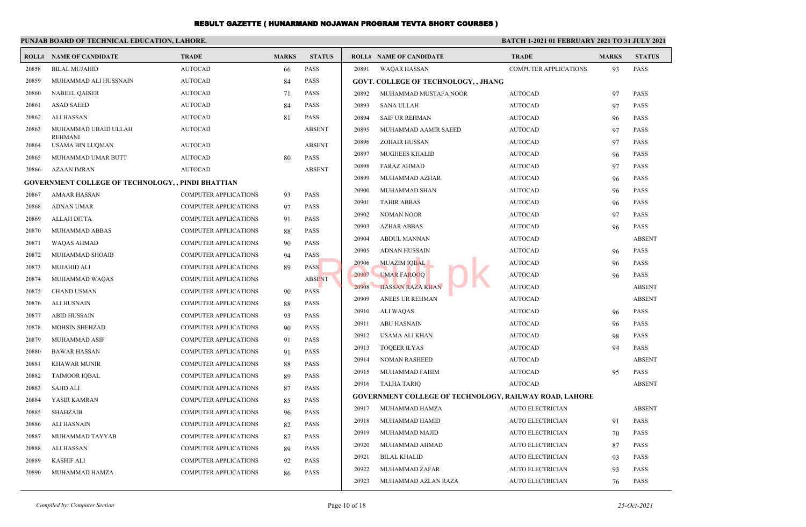|       | PUNJAB BOARD OF TECHNICAL EDUCATION, LAHORE.              |                              |              |               |       | BATCH 1-2021 01 FEBRUARY 2021 TO 31 JULY 2021                 |                              |              |               |
|-------|-----------------------------------------------------------|------------------------------|--------------|---------------|-------|---------------------------------------------------------------|------------------------------|--------------|---------------|
|       | <b>ROLL# NAME OF CANDIDATE</b>                            | <b>TRADE</b>                 | <b>MARKS</b> | <b>STATUS</b> |       | <b>ROLL# NAME OF CANDIDATE</b>                                | <b>TRADE</b>                 | <b>MARKS</b> | <b>STATUS</b> |
| 20858 | <b>BILAL MUJAHID</b>                                      | <b>AUTOCAD</b>               | 66           | <b>PASS</b>   | 20891 | <b>WAQAR HASSAN</b>                                           | <b>COMPUTER APPLICATIONS</b> | 93           | <b>PASS</b>   |
| 20859 | MUHAMMAD ALI HUSSNAIN                                     | <b>AUTOCAD</b>               | 84           | <b>PASS</b>   |       | <b>GOVT. COLLEGE OF TECHNOLOGY,, JHANG</b>                    |                              |              |               |
| 20860 | <b>NABEEL QAISER</b>                                      | <b>AUTOCAD</b>               | 71           | <b>PASS</b>   | 20892 | MUHAMMAD MUSTAFA NOOR                                         | <b>AUTOCAD</b>               | 97           | <b>PASS</b>   |
| 20861 | <b>ASAD SAEED</b>                                         | <b>AUTOCAD</b>               | 84           | <b>PASS</b>   | 20893 | <b>SANA ULLAH</b>                                             | <b>AUTOCAD</b>               | 97           | <b>PASS</b>   |
| 20862 | ALI HASSAN                                                | <b>AUTOCAD</b>               | 81           | <b>PASS</b>   | 20894 | <b>SAIF UR REHMAN</b>                                         | <b>AUTOCAD</b>               | 96           | <b>PASS</b>   |
| 20863 | MUHAMMAD UBAID ULLAH                                      | <b>AUTOCAD</b>               |              | <b>ABSENT</b> | 20895 | MUHAMMAD AAMIR SAEED                                          | <b>AUTOCAD</b>               | 97           | <b>PASS</b>   |
| 20864 | <b>REHMANI</b><br>USAMA BIN LUQMAN                        | <b>AUTOCAD</b>               |              | <b>ABSENT</b> | 20896 | <b>ZOHAIR HUSSAN</b>                                          | <b>AUTOCAD</b>               | 97           | <b>PASS</b>   |
| 20865 | MUHAMMAD UMAR BUTT                                        | <b>AUTOCAD</b>               | 80           | PASS          | 20897 | <b>MUGHEES KHALID</b>                                         | <b>AUTOCAD</b>               | 96           | <b>PASS</b>   |
| 20866 | AZAAN IMRAN                                               | <b>AUTOCAD</b>               |              | <b>ABSENT</b> | 20898 | <b>FARAZ AHMAD</b>                                            | <b>AUTOCAD</b>               | 97           | <b>PASS</b>   |
|       | <b>GOVERNMENT COLLEGE OF TECHNOLOGY, , PINDI BHATTIAN</b> |                              |              |               | 20899 | MUHAMMAD AZHAR                                                | <b>AUTOCAD</b>               | 96           | <b>PASS</b>   |
| 20867 | <b>AMAAR HASSAN</b>                                       | <b>COMPUTER APPLICATIONS</b> | 93           | <b>PASS</b>   | 20900 | MUHAMMAD SHAN                                                 | <b>AUTOCAD</b>               | 96           | <b>PASS</b>   |
| 20868 | <b>ADNAN UMAR</b>                                         | <b>COMPUTER APPLICATIONS</b> | 97           | <b>PASS</b>   | 20901 | <b>TAHIR ABBAS</b>                                            | <b>AUTOCAD</b>               | 96           | <b>PASS</b>   |
| 20869 | <b>ALLAH DITTA</b>                                        | <b>COMPUTER APPLICATIONS</b> | 91           | <b>PASS</b>   | 20902 | <b>NOMAN NOOR</b>                                             | <b>AUTOCAD</b>               | 97           | <b>PASS</b>   |
| 20870 | MUHAMMAD ABBAS                                            | <b>COMPUTER APPLICATIONS</b> | 88           | <b>PASS</b>   | 20903 | <b>AZHAR ABBAS</b>                                            | <b>AUTOCAD</b>               | 96           | <b>PASS</b>   |
| 20871 | WAQAS AHMAD                                               | <b>COMPUTER APPLICATIONS</b> | 90           | <b>PASS</b>   | 20904 | <b>ABDUL MANNAN</b>                                           | <b>AUTOCAD</b>               |              | <b>ABSENT</b> |
| 20872 | MUHAMMAD SHOAIB                                           | <b>COMPUTER APPLICATIONS</b> | 94           | <b>PASS</b>   | 20905 | <b>ADNAN HUSSAIN</b>                                          | <b>AUTOCAD</b>               | 96           | <b>PASS</b>   |
| 20873 | <b>MUJAHID ALI</b>                                        | <b>COMPUTER APPLICATIONS</b> | 89           | <b>PASS</b>   | 20906 | MUAZIM IQBAL                                                  | <b>AUTOCAD</b>               | 96           | <b>PASS</b>   |
| 20874 | MUHAMMAD WAQAS                                            | <b>COMPUTER APPLICATIONS</b> |              | <b>ABSENT</b> | 20907 | <b>UMAR FAROOQ</b>                                            | <b>AUTOCAD</b>               | 96           | <b>PASS</b>   |
| 20875 | <b>CHAND USMAN</b>                                        | <b>COMPUTER APPLICATIONS</b> | 90           | PASS          | 20908 | <b>HASSAN RAZA KHAN</b>                                       | <b>AUTOCAD</b>               |              | <b>ABSENT</b> |
| 20876 | ALI HUSNAIN                                               | <b>COMPUTER APPLICATIONS</b> | 88           | <b>PASS</b>   | 20909 | ANEES UR REHMAN                                               | <b>AUTOCAD</b>               |              | <b>ABSENT</b> |
| 20877 | <b>ABID HUSSAIN</b>                                       | <b>COMPUTER APPLICATIONS</b> | 93           | <b>PASS</b>   | 20910 | ALI WAQAS                                                     | <b>AUTOCAD</b>               | 96           | <b>PASS</b>   |
| 20878 | <b>MOHSIN SHEHZAD</b>                                     | <b>COMPUTER APPLICATIONS</b> | 90           | <b>PASS</b>   | 20911 | ABU HASNAIN                                                   | <b>AUTOCAD</b>               | 96           | <b>PASS</b>   |
| 20879 | MUHAMMAD ASIF                                             | <b>COMPUTER APPLICATIONS</b> | 91           | <b>PASS</b>   | 20912 | USAMA ALI KHAN                                                | <b>AUTOCAD</b>               | 98           | <b>PASS</b>   |
| 20880 | <b>BAWAR HASSAN</b>                                       | <b>COMPUTER APPLICATIONS</b> | 91           | <b>PASS</b>   | 20913 | <b>TOQEER ILYAS</b>                                           | <b>AUTOCAD</b>               | 94           | <b>PASS</b>   |
| 20881 | <b>KHAWAR MUNIR</b>                                       | <b>COMPUTER APPLICATIONS</b> | 88           | <b>PASS</b>   | 20914 | <b>NOMAN RASHEED</b>                                          | <b>AUTOCAD</b>               |              | <b>ABSENT</b> |
| 20882 | <b>TAIMOOR IQBAL</b>                                      | <b>COMPUTER APPLICATIONS</b> | 89           | <b>PASS</b>   | 20915 | <b>MUHAMMAD FAHIM</b>                                         | <b>AUTOCAD</b>               | 95           | <b>PASS</b>   |
| 20883 | <b>SAJID ALI</b>                                          | <b>COMPUTER APPLICATIONS</b> | 87           | <b>PASS</b>   | 20916 | TALHA TARIQ                                                   | <b>AUTOCAD</b>               |              | <b>ABSENT</b> |
| 20884 | YASIR KAMRAN                                              | <b>COMPUTER APPLICATIONS</b> | 85           | <b>PASS</b>   |       | <b>GOVERNMENT COLLEGE OF TECHNOLOGY, RAILWAY ROAD, LAHORE</b> |                              |              |               |
| 20885 | <b>SHAHZAIB</b>                                           | <b>COMPUTER APPLICATIONS</b> | 96           | <b>PASS</b>   | 20917 | MUHAMMAD HAMZA                                                | <b>AUTO ELECTRICIAN</b>      |              | <b>ABSENT</b> |
| 20886 | <b>ALI HASNAIN</b>                                        | COMPUTER APPLICATIONS        | 82           | PASS          |       | 20918 MUHAMMAD HAMID                                          | <b>AUTO ELECTRICIAN</b>      | 91           | PASS          |
| 20887 | MUHAMMAD TAYYAB                                           | <b>COMPUTER APPLICATIONS</b> | 87           | PASS          | 20919 | MUHAMMAD MAJID                                                | <b>AUTO ELECTRICIAN</b>      | 70           | PASS          |
| 20888 | ALI HASSAN                                                | COMPUTER APPLICATIONS        | 89           | PASS          | 20920 | MUHAMMAD AHMAD                                                | AUTO ELECTRICIAN             | 87           | <b>PASS</b>   |
| 20889 | <b>KASHIF ALI</b>                                         | <b>COMPUTER APPLICATIONS</b> | 92           | PASS          | 20921 | <b>BILAL KHALID</b>                                           | <b>AUTO ELECTRICIAN</b>      | 93           | <b>PASS</b>   |
| 20890 | MUHAMMAD HAMZA                                            | <b>COMPUTER APPLICATIONS</b> | 86           | PASS          | 20922 | MUHAMMAD ZAFAR                                                | <b>AUTO ELECTRICIAN</b>      | 93           | <b>PASS</b>   |
|       |                                                           |                              |              |               | 20923 | MUHAMMAD AZLAN RAZA                                           | <b>AUTO ELECTRICIAN</b>      | 76           | <b>PASS</b>   |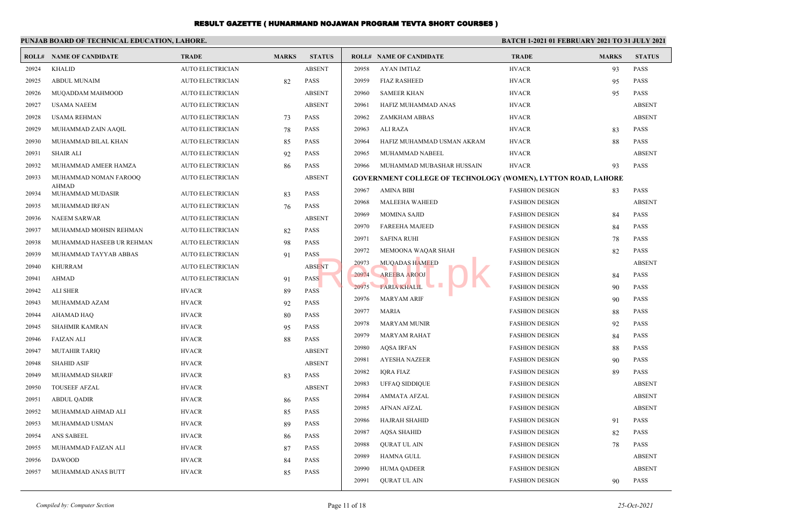|       | PUNJAB BOARD OF TECHNICAL EDUCATION, LAHORE. |                         |              |               |       |                                                                      | BATCH 1-2021 01 FEBRUARY 2021 TO 31 JULY 2021 |              |               |
|-------|----------------------------------------------|-------------------------|--------------|---------------|-------|----------------------------------------------------------------------|-----------------------------------------------|--------------|---------------|
|       | <b>ROLL# NAME OF CANDIDATE</b>               | <b>TRADE</b>            | <b>MARKS</b> | <b>STATUS</b> |       | <b>ROLL# NAME OF CANDIDATE</b>                                       | <b>TRADE</b>                                  | <b>MARKS</b> | <b>STATUS</b> |
| 20924 | <b>KHALID</b>                                | <b>AUTO ELECTRICIAN</b> |              | <b>ABSENT</b> | 20958 | AYAN IMTIAZ                                                          | <b>HVACR</b>                                  | 93           | <b>PASS</b>   |
| 20925 | <b>ABDUL MUNAIM</b>                          | <b>AUTO ELECTRICIAN</b> | 82           | <b>PASS</b>   | 20959 | <b>FIAZ RASHEED</b>                                                  | <b>HVACR</b>                                  | 95           | <b>PASS</b>   |
| 20926 | MUQADDAM MAHMOOD                             | <b>AUTO ELECTRICIAN</b> |              | <b>ABSENT</b> | 20960 | <b>SAMEER KHAN</b>                                                   | <b>HVACR</b>                                  | 95           | <b>PASS</b>   |
| 20927 | <b>USAMA NAEEM</b>                           | <b>AUTO ELECTRICIAN</b> |              | <b>ABSENT</b> | 20961 | HAFIZ MUHAMMAD ANAS                                                  | <b>HVACR</b>                                  |              | <b>ABSENT</b> |
| 20928 | USAMA REHMAN                                 | <b>AUTO ELECTRICIAN</b> | 73           | <b>PASS</b>   | 20962 | ZAMKHAM ABBAS                                                        | <b>HVACR</b>                                  |              | <b>ABSENT</b> |
| 20929 | MUHAMMAD ZAIN AAQIL                          | <b>AUTO ELECTRICIAN</b> | 78           | <b>PASS</b>   | 20963 | ALI RAZA                                                             | <b>HVACR</b>                                  | 83           | <b>PASS</b>   |
| 20930 | MUHAMMAD BILAL KHAN                          | <b>AUTO ELECTRICIAN</b> | 85           | <b>PASS</b>   | 20964 | HAFIZ MUHAMMAD USMAN AKRAM                                           | <b>HVACR</b>                                  | 88           | <b>PASS</b>   |
| 20931 | <b>SHAIR ALI</b>                             | <b>AUTO ELECTRICIAN</b> | 92           | <b>PASS</b>   | 20965 | MUHAMMAD NABEEL                                                      | <b>HVACR</b>                                  |              | <b>ABSENT</b> |
| 20932 | MUHAMMAD AMEER HAMZA                         | <b>AUTO ELECTRICIAN</b> | 86           | PASS          | 20966 | MUHAMMAD MUBASHAR HUSSAIN                                            | <b>HVACR</b>                                  | 93           | <b>PASS</b>   |
| 20933 | MUHAMMAD NOMAN FAROOQ                        | <b>AUTO ELECTRICIAN</b> |              | <b>ABSENT</b> |       | <b>GOVERNMENT COLLEGE OF TECHNOLOGY (WOMEN), LYTTON ROAD, LAHORE</b> |                                               |              |               |
| 20934 | AHMAD<br>MUHAMMAD MUDASIR                    | <b>AUTO ELECTRICIAN</b> | 83           | <b>PASS</b>   | 20967 | AMINA BIBI                                                           | <b>FASHION DESIGN</b>                         | 83           | <b>PASS</b>   |
| 20935 | MUHAMMAD IRFAN                               | <b>AUTO ELECTRICIAN</b> | 76           | <b>PASS</b>   | 20968 | MALEEHA WAHEED                                                       | <b>FASHION DESIGN</b>                         |              | <b>ABSENT</b> |
| 20936 | <b>NAEEM SARWAR</b>                          | <b>AUTO ELECTRICIAN</b> |              | <b>ABSENT</b> | 20969 | <b>MOMINA SAJID</b>                                                  | <b>FASHION DESIGN</b>                         | 84           | <b>PASS</b>   |
| 20937 | MUHAMMAD MOHSIN REHMAN                       | <b>AUTO ELECTRICIAN</b> | 82           | <b>PASS</b>   | 20970 | <b>FAREEHA MAJEED</b>                                                | <b>FASHION DESIGN</b>                         | 84           | <b>PASS</b>   |
| 20938 | MUHAMMAD HASEEB UR REHMAN                    | <b>AUTO ELECTRICIAN</b> | 98           | <b>PASS</b>   | 20971 | <b>SAFINA RUHI</b>                                                   | <b>FASHION DESIGN</b>                         | 78           | <b>PASS</b>   |
| 20939 | MUHAMMAD TAYYAB ABBAS                        | <b>AUTO ELECTRICIAN</b> | 91           | <b>PASS</b>   | 20972 | MEMOONA WAQAR SHAH                                                   | <b>FASHION DESIGN</b>                         | 82           | <b>PASS</b>   |
| 20940 | <b>KHURRAM</b>                               | <b>AUTO ELECTRICIAN</b> |              | <b>ABSENT</b> | 20973 | MUQADAS HAMEED                                                       | <b>FASHION DESIGN</b>                         |              | <b>ABSENT</b> |
| 20941 | <b>AHMAD</b>                                 | <b>AUTO ELECTRICIAN</b> | 91           | <b>PASS</b>   | 20974 | <b>AREEBA AROOJ</b>                                                  | <b>FASHION DESIGN</b>                         | 84           | <b>PASS</b>   |
| 20942 | <b>ALI SHER</b>                              | <b>HVACR</b>            | 89           | PASS          | 20975 | <b>FARIA KHALIL</b>                                                  | <b>FASHION DESIGN</b>                         | 90           | <b>PASS</b>   |
| 20943 | MUHAMMAD AZAM                                | <b>HVACR</b>            | 92           | <b>PASS</b>   | 20976 | MARYAM ARIF                                                          | <b>FASHION DESIGN</b>                         | 90           | <b>PASS</b>   |
| 20944 | AHAMAD HAQ                                   | <b>HVACR</b>            | 80           | <b>PASS</b>   | 20977 | <b>MARIA</b>                                                         | <b>FASHION DESIGN</b>                         | 88           | <b>PASS</b>   |
| 20945 | <b>SHAHMIR KAMRAN</b>                        | <b>HVACR</b>            | 95           | <b>PASS</b>   | 20978 | <b>MARYAM MUNIR</b>                                                  | <b>FASHION DESIGN</b>                         | 92           | <b>PASS</b>   |
| 20946 | <b>FAIZAN ALI</b>                            | <b>HVACR</b>            | 88           | <b>PASS</b>   | 20979 | <b>MARYAM RAHAT</b>                                                  | <b>FASHION DESIGN</b>                         | 84           | <b>PASS</b>   |
| 20947 | <b>MUTAHIR TARIQ</b>                         | <b>HVACR</b>            |              | <b>ABSENT</b> | 20980 | <b>AQSA IRFAN</b>                                                    | <b>FASHION DESIGN</b>                         | 88           | <b>PASS</b>   |
| 20948 | <b>SHAHID ASIF</b>                           | <b>HVACR</b>            |              | <b>ABSENT</b> | 20981 | AYESHA NAZEER                                                        | <b>FASHION DESIGN</b>                         | 90           | <b>PASS</b>   |
| 20949 | MUHAMMAD SHARIF                              | <b>HVACR</b>            | 83           | <b>PASS</b>   | 20982 | <b>IORA FIAZ</b>                                                     | <b>FASHION DESIGN</b>                         | 89           | <b>PASS</b>   |
| 20950 | <b>TOUSEEF AFZAL</b>                         | <b>HVACR</b>            |              | <b>ABSENT</b> | 20983 | <b>UFFAQ SIDDIQUE</b>                                                | <b>FASHION DESIGN</b>                         |              | <b>ABSENT</b> |
| 20951 | <b>ABDUL OADIR</b>                           | <b>HVACR</b>            | 86           | <b>PASS</b>   | 20984 | <b>AMMATA AFZAL</b>                                                  | <b>FASHION DESIGN</b>                         |              | <b>ABSENT</b> |
| 20952 | MUHAMMAD AHMAD ALI                           | <b>HVACR</b>            | 85           | <b>PASS</b>   | 20985 | <b>AFNAN AFZAL</b>                                                   | <b>FASHION DESIGN</b>                         |              | <b>ABSENT</b> |
| 20953 | MUHAMMAD USMAN                               | <b>HVACR</b>            | 89           | PASS          |       | 20986 HAJRAH SHAHID                                                  | <b>FASHION DESIGN</b>                         | 91           | PASS          |
| 20954 | ANS SABEEL                                   | <b>HVACR</b>            | 86           | PASS          | 20987 | <b>AQSA SHAHID</b>                                                   | <b>FASHION DESIGN</b>                         | 82           | PASS          |
| 20955 | MUHAMMAD FAIZAN ALI                          | <b>HVACR</b>            | 87           | PASS          | 20988 | <b>QURAT UL AIN</b>                                                  | <b>FASHION DESIGN</b>                         | 78           | <b>PASS</b>   |
| 20956 | <b>DAWOOD</b>                                | <b>HVACR</b>            | 84           | PASS          | 20989 | <b>HAMNA GULL</b>                                                    | <b>FASHION DESIGN</b>                         |              | <b>ABSENT</b> |
| 20957 | MUHAMMAD ANAS BUTT                           | <b>HVACR</b>            | 85           | PASS          | 20990 | <b>HUMA QADEER</b>                                                   | <b>FASHION DESIGN</b>                         |              | <b>ABSENT</b> |
|       |                                              |                         |              |               | 20991 | <b>OURAT UL AIN</b>                                                  | <b>FASHION DESIGN</b>                         | 90           | <b>PASS</b>   |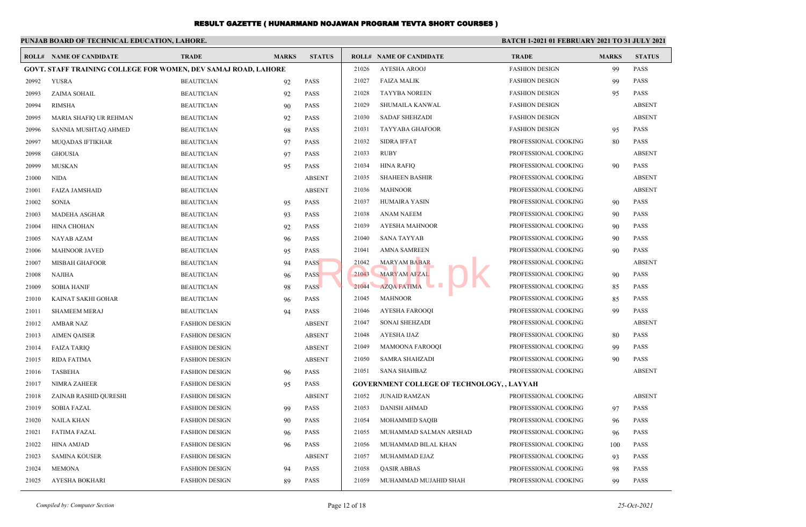|       | PUNJAB BOARD OF TECHNICAL EDUCATION, LAHORE.                          |                       |              |               | BATCH 1-2021 01 FEBRUARY 2021 TO 31 JULY 2021 |                                                   |                       |              |               |  |  |
|-------|-----------------------------------------------------------------------|-----------------------|--------------|---------------|-----------------------------------------------|---------------------------------------------------|-----------------------|--------------|---------------|--|--|
|       | <b>ROLL# NAME OF CANDIDATE</b>                                        | <b>TRADE</b>          | <b>MARKS</b> | <b>STATUS</b> |                                               | <b>ROLL# NAME OF CANDIDATE</b>                    | <b>TRADE</b>          | <b>MARKS</b> | <b>STATUS</b> |  |  |
|       | <b>GOVT. STAFF TRAINING COLLEGE FOR WOMEN, DEV SAMAJ ROAD, LAHORE</b> |                       |              |               | 21026                                         | <b>AYESHA AROOJ</b>                               | <b>FASHION DESIGN</b> | 99           | <b>PASS</b>   |  |  |
| 20992 | <b>YUSRA</b>                                                          | <b>BEAUTICIAN</b>     | 92           | <b>PASS</b>   | 21027                                         | <b>FAIZA MALIK</b>                                | <b>FASHION DESIGN</b> | 99           | <b>PASS</b>   |  |  |
| 20993 | ZAIMA SOHAIL                                                          | <b>BEAUTICIAN</b>     | 92           | <b>PASS</b>   | 21028                                         | <b>TAYYBA NOREEN</b>                              | <b>FASHION DESIGN</b> | 95           | <b>PASS</b>   |  |  |
| 20994 | <b>RIMSHA</b>                                                         | <b>BEAUTICIAN</b>     | 90           | <b>PASS</b>   | 21029                                         | SHUMAILA KANWAL                                   | <b>FASHION DESIGN</b> |              | <b>ABSENT</b> |  |  |
| 20995 | MARIA SHAFIQ UR REHMAN                                                | <b>BEAUTICIAN</b>     | 92           | <b>PASS</b>   | 21030                                         | <b>SADAF SHEHZADI</b>                             | <b>FASHION DESIGN</b> |              | <b>ABSENT</b> |  |  |
| 20996 | SANNIA MUSHTAQ AHMED                                                  | <b>BEAUTICIAN</b>     | 98           | <b>PASS</b>   | 21031                                         | <b>TAYYABA GHAFOOR</b>                            | <b>FASHION DESIGN</b> | 95           | <b>PASS</b>   |  |  |
| 20997 | MUQADAS IFTIKHAR                                                      | <b>BEAUTICIAN</b>     | 97           | <b>PASS</b>   | 21032                                         | <b>SIDRA IFFAT</b>                                | PROFESSIONAL COOKING  | 80           | <b>PASS</b>   |  |  |
| 20998 | <b>GHOUSIA</b>                                                        | <b>BEAUTICIAN</b>     | 97           | <b>PASS</b>   | 21033                                         | <b>RUBY</b>                                       | PROFESSIONAL COOKING  |              | <b>ABSENT</b> |  |  |
| 20999 | <b>MUSKAN</b>                                                         | <b>BEAUTICIAN</b>     | 95           | PASS          | 21034                                         | HINA RAFIQ                                        | PROFESSIONAL COOKING  | 90           | <b>PASS</b>   |  |  |
| 21000 | <b>NIDA</b>                                                           | <b>BEAUTICIAN</b>     |              | <b>ABSENT</b> | 21035                                         | <b>SHAHEEN BASHIR</b>                             | PROFESSIONAL COOKING  |              | <b>ABSENT</b> |  |  |
| 21001 | <b>FAIZA JAMSHAID</b>                                                 | <b>BEAUTICIAN</b>     |              | <b>ABSENT</b> | 21036                                         | <b>MAHNOOR</b>                                    | PROFESSIONAL COOKING  |              | <b>ABSENT</b> |  |  |
| 21002 | <b>SONIA</b>                                                          | <b>BEAUTICIAN</b>     | 95           | <b>PASS</b>   | 21037                                         | <b>HUMAIRA YASIN</b>                              | PROFESSIONAL COOKING  | 90           | <b>PASS</b>   |  |  |
| 21003 | MADEHA ASGHAR                                                         | <b>BEAUTICIAN</b>     | 93           | <b>PASS</b>   | 21038                                         | <b>ANAM NAEEM</b>                                 | PROFESSIONAL COOKING  | 90           | <b>PASS</b>   |  |  |
| 21004 | <b>HINA CHOHAN</b>                                                    | <b>BEAUTICIAN</b>     | 92           | <b>PASS</b>   | 21039                                         | AYESHA MAHNOOR                                    | PROFESSIONAL COOKING  | 90           | <b>PASS</b>   |  |  |
| 21005 | NAYAB AZAM                                                            | <b>BEAUTICIAN</b>     | 96           | <b>PASS</b>   | 21040                                         | <b>SANA TAYYAB</b>                                | PROFESSIONAL COOKING  | 90           | <b>PASS</b>   |  |  |
| 21006 | <b>MAHNOOR JAVED</b>                                                  | <b>BEAUTICIAN</b>     | 95           | <b>PASS</b>   | 21041                                         | <b>AMNA SAMREEN</b>                               | PROFESSIONAL COOKING  | 90           | <b>PASS</b>   |  |  |
| 21007 | <b>MISBAH GHAFOOR</b>                                                 | <b>BEAUTICIAN</b>     | 94           | <b>PASS</b>   | 21042                                         | <b>MARYAM BABAR</b>                               | PROFESSIONAL COOKING  |              | <b>ABSENT</b> |  |  |
| 21008 | <b>NAJIHA</b>                                                         | <b>BEAUTICIAN</b>     | 96           | <b>PASS</b>   | 21043                                         | MARYAM AFZAL                                      | PROFESSIONAL COOKING  | 90           | <b>PASS</b>   |  |  |
| 21009 | <b>SOBIA HANIF</b>                                                    | <b>BEAUTICIAN</b>     | 98           | <b>PASS</b>   | 21044                                         | <b>AZOA FATIMA</b>                                | PROFESSIONAL COOKING  | 85           | <b>PASS</b>   |  |  |
| 21010 | KAINAT SAKHI GOHAR                                                    | <b>BEAUTICIAN</b>     | 96           | <b>PASS</b>   | 21045                                         | <b>MAHNOOR</b>                                    | PROFESSIONAL COOKING  | 85           | <b>PASS</b>   |  |  |
| 21011 | <b>SHAMEEM MERAJ</b>                                                  | <b>BEAUTICIAN</b>     | 94           | <b>PASS</b>   | 21046                                         | AYESHA FAROOQI                                    | PROFESSIONAL COOKING  | 99           | <b>PASS</b>   |  |  |
| 21012 | <b>AMBAR NAZ</b>                                                      | <b>FASHION DESIGN</b> |              | <b>ABSENT</b> | 21047                                         | <b>SONAI SHEHZADI</b>                             | PROFESSIONAL COOKING  |              | <b>ABSENT</b> |  |  |
| 21013 | <b>AIMEN QAISER</b>                                                   | <b>FASHION DESIGN</b> |              | <b>ABSENT</b> | 21048                                         | AYESHA IJAZ                                       | PROFESSIONAL COOKING  | 80           | <b>PASS</b>   |  |  |
| 21014 | <b>FAIZA TARIQ</b>                                                    | <b>FASHION DESIGN</b> |              | <b>ABSENT</b> | 21049                                         | <b>MAMOONA FAROOQI</b>                            | PROFESSIONAL COOKING  | 99           | <b>PASS</b>   |  |  |
| 21015 | <b>RIDA FATIMA</b>                                                    | <b>FASHION DESIGN</b> |              | <b>ABSENT</b> | 21050                                         | <b>SAMRA SHAHZADI</b>                             | PROFESSIONAL COOKING  | 90           | <b>PASS</b>   |  |  |
| 21016 | <b>TASBEHA</b>                                                        | <b>FASHION DESIGN</b> | 96           | PASS          | 21051                                         | <b>SANA SHAHBAZ</b>                               | PROFESSIONAL COOKING  |              | <b>ABSENT</b> |  |  |
| 21017 | <b>NIMRA ZAHEER</b>                                                   | <b>FASHION DESIGN</b> | 95           | <b>PASS</b>   |                                               | <b>GOVERNMENT COLLEGE OF TECHNOLOGY, , LAYYAH</b> |                       |              |               |  |  |
| 21018 | ZAINAB RASHID QURESHI                                                 | <b>FASHION DESIGN</b> |              | <b>ABSENT</b> | 21052                                         | <b>JUNAID RAMZAN</b>                              | PROFESSIONAL COOKING  |              | <b>ABSENT</b> |  |  |
| 21019 | <b>SOBIA FAZAL</b>                                                    | <b>FASHION DESIGN</b> | 99           | <b>PASS</b>   | 21053                                         | <b>DANISH AHMAD</b>                               | PROFESSIONAL COOKING  | 97           | <b>PASS</b>   |  |  |
| 21020 | <b>NAILA KHAN</b>                                                     | <b>FASHION DESIGN</b> | 90           | <b>PASS</b>   | 21054                                         | <b>MOHAMMED SAQIB</b>                             | PROFESSIONAL COOKING  | 96           | <b>PASS</b>   |  |  |
| 21021 | <b>FATIMA FAZAL</b>                                                   | <b>FASHION DESIGN</b> | 96           | PASS          | 21055                                         | MUHAMMAD SALMAN ARSHAD                            | PROFESSIONAL COOKING  | 96           | <b>PASS</b>   |  |  |
| 21022 | <b>HINA AMJAD</b>                                                     | <b>FASHION DESIGN</b> | 96           | <b>PASS</b>   | 21056                                         | MUHAMMAD BILAL KHAN                               | PROFESSIONAL COOKING  | 100          | <b>PASS</b>   |  |  |
| 21023 | <b>SAMINA KOUSER</b>                                                  | <b>FASHION DESIGN</b> |              | <b>ABSENT</b> | 21057                                         | MUHAMMAD EJAZ                                     | PROFESSIONAL COOKING  | 93           | <b>PASS</b>   |  |  |
| 21024 | <b>MEMONA</b>                                                         | <b>FASHION DESIGN</b> | 94           | <b>PASS</b>   | 21058                                         | <b>QASIR ABBAS</b>                                | PROFESSIONAL COOKING  | 98           | <b>PASS</b>   |  |  |
| 21025 | AYESHA BOKHARI                                                        | <b>FASHION DESIGN</b> | 89           | <b>PASS</b>   | 21059                                         | MUHAMMAD MUJAHID SHAH                             | PROFESSIONAL COOKING  | 99           | <b>PASS</b>   |  |  |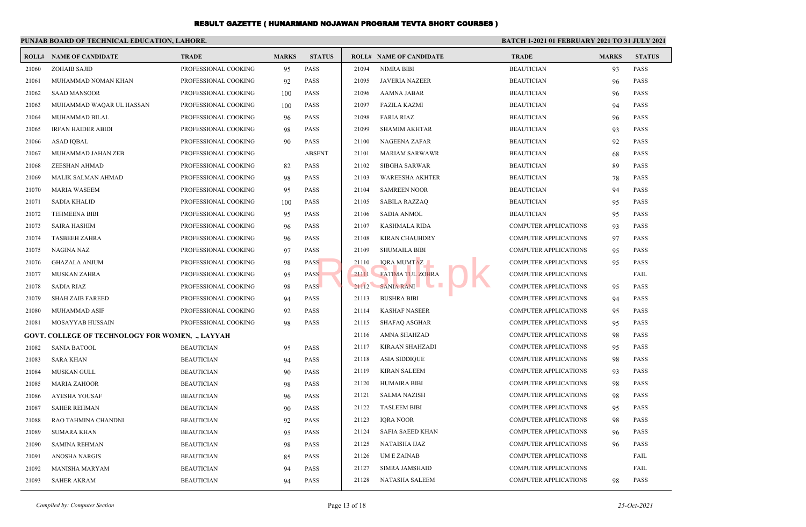|       | PUNJAB BOARD OF TECHNICAL EDUCATION, LAHORE.            |                      |              |               |       |                                |                              | <b>BATCH 1-2021 01 FEBRUARY 2021 TO 31 JULY 2021</b> |               |  |
|-------|---------------------------------------------------------|----------------------|--------------|---------------|-------|--------------------------------|------------------------------|------------------------------------------------------|---------------|--|
|       | <b>ROLL# NAME OF CANDIDATE</b>                          | <b>TRADE</b>         | <b>MARKS</b> | <b>STATUS</b> |       | <b>ROLL# NAME OF CANDIDATE</b> | <b>TRADE</b>                 | <b>MARKS</b>                                         | <b>STATUS</b> |  |
| 21060 | <b>ZOHAIB SAJID</b>                                     | PROFESSIONAL COOKING | 95           | PASS          | 21094 | <b>NIMRA BIBI</b>              | <b>BEAUTICIAN</b>            | 93                                                   | <b>PASS</b>   |  |
| 21061 | MUHAMMAD NOMAN KHAN                                     | PROFESSIONAL COOKING | 92           | <b>PASS</b>   | 21095 | <b>JAVERIA NAZEER</b>          | <b>BEAUTICIAN</b>            | 96                                                   | <b>PASS</b>   |  |
| 21062 | <b>SAAD MANSOOR</b>                                     | PROFESSIONAL COOKING | 100          | <b>PASS</b>   | 21096 | <b>AAMNA JABAR</b>             | <b>BEAUTICIAN</b>            | 96                                                   | <b>PASS</b>   |  |
| 21063 | MUHAMMAD WAQAR UL HASSAN                                | PROFESSIONAL COOKING | 100          | <b>PASS</b>   | 21097 | <b>FAZILA KAZMI</b>            | <b>BEAUTICIAN</b>            | 94                                                   | PASS          |  |
| 21064 | MUHAMMAD BILAL                                          | PROFESSIONAL COOKING | 96           | <b>PASS</b>   | 21098 | <b>FARIA RIAZ</b>              | <b>BEAUTICIAN</b>            | 96                                                   | <b>PASS</b>   |  |
| 21065 | <b>IRFAN HAIDER ABIDI</b>                               | PROFESSIONAL COOKING | 98           | <b>PASS</b>   | 21099 | <b>SHAMIM AKHTAR</b>           | <b>BEAUTICIAN</b>            | 93                                                   | <b>PASS</b>   |  |
| 21066 | <b>ASAD IQBAL</b>                                       | PROFESSIONAL COOKING | 90           | <b>PASS</b>   | 21100 | NAGEENA ZAFAR                  | <b>BEAUTICIAN</b>            | 92                                                   | <b>PASS</b>   |  |
| 21067 | MUHAMMAD JAHAN ZEB                                      | PROFESSIONAL COOKING |              | <b>ABSENT</b> | 21101 | <b>MARIAM SARWAWR</b>          | <b>BEAUTICIAN</b>            | 68                                                   | <b>PASS</b>   |  |
| 21068 | ZEESHAN AHMAD                                           | PROFESSIONAL COOKING | 82           | <b>PASS</b>   | 21102 | <b>SIBGHA SARWAR</b>           | <b>BEAUTICIAN</b>            | 89                                                   | <b>PASS</b>   |  |
| 21069 | MALIK SALMAN AHMAD                                      | PROFESSIONAL COOKING | 98           | <b>PASS</b>   | 21103 | <b>WAREESHA AKHTER</b>         | <b>BEAUTICIAN</b>            | 78                                                   | <b>PASS</b>   |  |
| 21070 | <b>MARIA WASEEM</b>                                     | PROFESSIONAL COOKING | 95           | <b>PASS</b>   | 21104 | <b>SAMREEN NOOR</b>            | <b>BEAUTICIAN</b>            | 94                                                   | <b>PASS</b>   |  |
| 21071 | <b>SADIA KHALID</b>                                     | PROFESSIONAL COOKING | 100          | <b>PASS</b>   | 21105 | <b>SABILA RAZZAQ</b>           | <b>BEAUTICIAN</b>            | 95                                                   | <b>PASS</b>   |  |
| 21072 | <b>TEHMEENA BIBI</b>                                    | PROFESSIONAL COOKING | 95           | <b>PASS</b>   | 21106 | <b>SADIA ANMOL</b>             | <b>BEAUTICIAN</b>            | 95                                                   | <b>PASS</b>   |  |
| 21073 | <b>SAIRA HASHIM</b>                                     | PROFESSIONAL COOKING | 96           | <b>PASS</b>   | 21107 | <b>KASHMALA RIDA</b>           | <b>COMPUTER APPLICATIONS</b> | 93                                                   | <b>PASS</b>   |  |
| 21074 | <b>TASBEEH ZAHRA</b>                                    | PROFESSIONAL COOKING | 96           | <b>PASS</b>   | 21108 | KIRAN CHAUHDRY                 | <b>COMPUTER APPLICATIONS</b> | 97                                                   | <b>PASS</b>   |  |
| 21075 | <b>NAGINA NAZ</b>                                       | PROFESSIONAL COOKING | 97           | <b>PASS</b>   | 21109 | <b>SHUMAILA BIBI</b>           | <b>COMPUTER APPLICATIONS</b> | 95                                                   | <b>PASS</b>   |  |
| 21076 | <b>GHAZALA ANJUM</b>                                    | PROFESSIONAL COOKING | 98           | <b>PASS</b>   | 21110 | <b>IORA MUMTAZ</b>             | <b>COMPUTER APPLICATIONS</b> | 95                                                   | <b>PASS</b>   |  |
| 21077 | MUSKAN ZAHRA                                            | PROFESSIONAL COOKING | 95           | <b>PASS</b>   | 21111 | <b>FATIMA TUL ZOHRA</b>        | <b>COMPUTER APPLICATIONS</b> |                                                      | FAIL          |  |
| 21078 | <b>SADIA RIAZ</b>                                       | PROFESSIONAL COOKING | 98           | <b>PASS</b>   | 21112 | . .<br>SANIA RANI              | <b>COMPUTER APPLICATIONS</b> | 95                                                   | <b>PASS</b>   |  |
| 21079 | <b>SHAH ZAIB FAREED</b>                                 | PROFESSIONAL COOKING | 94           | <b>PASS</b>   | 21113 | <b>BUSHRA BIBI</b>             | <b>COMPUTER APPLICATIONS</b> | 94                                                   | <b>PASS</b>   |  |
| 21080 | MUHAMMAD ASIF                                           | PROFESSIONAL COOKING | 92           | <b>PASS</b>   | 21114 | <b>KASHAF NASEER</b>           | <b>COMPUTER APPLICATIONS</b> | 95                                                   | <b>PASS</b>   |  |
| 21081 | <b>MOSAYYAB HUSSAIN</b>                                 | PROFESSIONAL COOKING | 98           | <b>PASS</b>   | 21115 | <b>SHAFAQ ASGHAR</b>           | <b>COMPUTER APPLICATIONS</b> | 95                                                   | <b>PASS</b>   |  |
|       | <b>GOVT. COLLEGE OF TECHNOLOGY FOR WOMEN, ., LAYYAH</b> |                      |              |               | 21116 | AMNA SHAHZAD                   | <b>COMPUTER APPLICATIONS</b> | 98                                                   | <b>PASS</b>   |  |
| 21082 | <b>SANIA BATOOL</b>                                     | <b>BEAUTICIAN</b>    | 95           | <b>PASS</b>   | 21117 | KIRAAN SHAHZADI                | <b>COMPUTER APPLICATIONS</b> | 95                                                   | <b>PASS</b>   |  |
| 21083 | <b>SARA KHAN</b>                                        | <b>BEAUTICIAN</b>    | 94           | <b>PASS</b>   | 21118 | <b>ASIA SIDDIQUE</b>           | <b>COMPUTER APPLICATIONS</b> | 98                                                   | <b>PASS</b>   |  |
| 21084 | MUSKAN GULL                                             | <b>BEAUTICIAN</b>    | 90           | PASS          | 21119 | <b>KIRAN SALEEM</b>            | <b>COMPUTER APPLICATIONS</b> | 93                                                   | <b>PASS</b>   |  |
| 21085 | <b>MARIA ZAHOOR</b>                                     | <b>BEAUTICIAN</b>    | 98           | <b>PASS</b>   | 21120 | <b>HUMAIRA BIBI</b>            | <b>COMPUTER APPLICATIONS</b> | 98                                                   | <b>PASS</b>   |  |
| 21086 | AYESHA YOUSAF                                           | <b>BEAUTICIAN</b>    | 96           | <b>PASS</b>   | 21121 | <b>SALMA NAZISH</b>            | <b>COMPUTER APPLICATIONS</b> | 98                                                   | <b>PASS</b>   |  |
| 21087 | <b>SAHER REHMAN</b>                                     | <b>BEAUTICIAN</b>    | 90           | <b>PASS</b>   | 21122 | <b>TASLEEM BIBI</b>            | <b>COMPUTER APPLICATIONS</b> | 95                                                   | <b>PASS</b>   |  |
| 21088 | RAO TAHMINA CHANDNI                                     | <b>BEAUTICIAN</b>    | 92           | <b>PASS</b>   | 21123 | <b>IQRA NOOR</b>               | <b>COMPUTER APPLICATIONS</b> | 98                                                   | <b>PASS</b>   |  |
| 21089 | <b>SUMARA KHAN</b>                                      | <b>BEAUTICIAN</b>    | 95           | <b>PASS</b>   | 21124 | <b>SAFIA SAEED KHAN</b>        | <b>COMPUTER APPLICATIONS</b> | 96                                                   | <b>PASS</b>   |  |
| 21090 | <b>SAMINA REHMAN</b>                                    | <b>BEAUTICIAN</b>    | 98           | <b>PASS</b>   | 21125 | NATAISHA IJAZ                  | <b>COMPUTER APPLICATIONS</b> | 96                                                   | <b>PASS</b>   |  |
| 21091 | <b>ANOSHA NARGIS</b>                                    | <b>BEAUTICIAN</b>    | 85           | <b>PASS</b>   | 21126 | <b>UMEZAINAB</b>               | <b>COMPUTER APPLICATIONS</b> |                                                      | FAIL          |  |
| 21092 | <b>MANISHA MARYAM</b>                                   | <b>BEAUTICIAN</b>    | 94           | <b>PASS</b>   | 21127 | <b>SIMRA JAMSHAID</b>          | <b>COMPUTER APPLICATIONS</b> |                                                      | FAIL          |  |
| 21093 | <b>SAHER AKRAM</b>                                      | <b>BEAUTICIAN</b>    | 94           | <b>PASS</b>   | 21128 | NATASHA SALEEM                 | <b>COMPUTER APPLICATIONS</b> | 98                                                   | <b>PASS</b>   |  |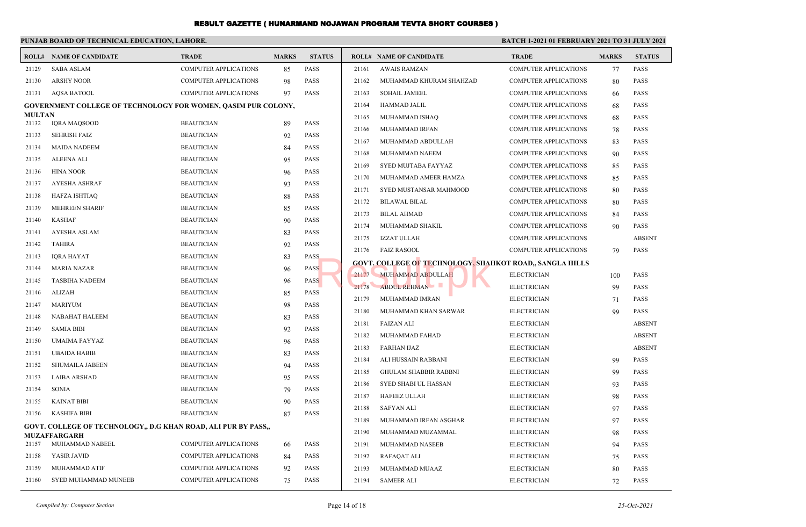|               | PUNJAB BOARD OF TECHNICAL EDUCATION, LAHORE.                         |                              |              |               |       |                                                                 | <b>BATCH 1-2021 01 FEBRUARY 2021 TO 31 JULY 2021</b> |              |               |
|---------------|----------------------------------------------------------------------|------------------------------|--------------|---------------|-------|-----------------------------------------------------------------|------------------------------------------------------|--------------|---------------|
|               | <b>ROLL# NAME OF CANDIDATE</b>                                       | <b>TRADE</b>                 | <b>MARKS</b> | <b>STATUS</b> |       | <b>ROLL# NAME OF CANDIDATE</b>                                  | <b>TRADE</b>                                         | <b>MARKS</b> | <b>STATUS</b> |
| 21129         | <b>SABA ASLAM</b>                                                    | <b>COMPUTER APPLICATIONS</b> | 85           | PASS          | 21161 | <b>AWAIS RAMZAN</b>                                             | <b>COMPUTER APPLICATIONS</b>                         | 77           | <b>PASS</b>   |
| 21130         | <b>ARSHY NOOR</b>                                                    | <b>COMPUTER APPLICATIONS</b> | 98           | PASS          | 21162 | MUHAMMAD KHURAM SHAHZAD                                         | <b>COMPUTER APPLICATIONS</b>                         | 80           | <b>PASS</b>   |
| 21131         | <b>AQSA BATOOL</b>                                                   | <b>COMPUTER APPLICATIONS</b> | 97           | <b>PASS</b>   | 21163 | <b>SOHAIL JAMEEL</b>                                            | <b>COMPUTER APPLICATIONS</b>                         | 66           | <b>PASS</b>   |
|               | <b>GOVERNMENT COLLEGE OF TECHNOLOGY FOR WOMEN, QASIM PUR COLONY,</b> |                              |              |               | 21164 | HAMMAD JALIL                                                    | <b>COMPUTER APPLICATIONS</b>                         | 68           | <b>PASS</b>   |
| <b>MULTAN</b> |                                                                      |                              |              |               | 21165 | MUHAMMAD ISHAQ                                                  | <b>COMPUTER APPLICATIONS</b>                         | 68           | <b>PASS</b>   |
| 21132         | <b>IQRA MAQSOOD</b>                                                  | <b>BEAUTICIAN</b>            | 89           | <b>PASS</b>   | 21166 | MUHAMMAD IRFAN                                                  | <b>COMPUTER APPLICATIONS</b>                         | 78           | <b>PASS</b>   |
| 21133         | <b>SEHRISH FAIZ</b>                                                  | <b>BEAUTICIAN</b>            | 92           | PASS          | 21167 | MUHAMMAD ABDULLAH                                               | <b>COMPUTER APPLICATIONS</b>                         | 83           | <b>PASS</b>   |
| 21134         | <b>MAIDA NADEEM</b>                                                  | <b>BEAUTICIAN</b>            | 84           | PASS          | 21168 | MUHAMMAD NAEEM                                                  | <b>COMPUTER APPLICATIONS</b>                         | 90           | <b>PASS</b>   |
| 21135         | <b>ALEENA ALI</b>                                                    | <b>BEAUTICIAN</b>            | 95           | PASS          | 21169 | SYED MUJTABA FAYYAZ                                             | COMPUTER APPLICATIONS                                | 85           | <b>PASS</b>   |
| 21136         | <b>HINA NOOR</b>                                                     | <b>BEAUTICIAN</b>            | 96           | <b>PASS</b>   | 21170 | MUHAMMAD AMEER HAMZA                                            | <b>COMPUTER APPLICATIONS</b>                         | 85           | PASS          |
| 21137         | <b>AYESHA ASHRAF</b>                                                 | <b>BEAUTICIAN</b>            | 93           | <b>PASS</b>   | 21171 | SYED MUSTANSAR MAHMOOD                                          | <b>COMPUTER APPLICATIONS</b>                         | 80           | <b>PASS</b>   |
| 21138         | HAFZA ISHTIAQ                                                        | <b>BEAUTICIAN</b>            | 88           | PASS          | 21172 | <b>BILAWAL BILAL</b>                                            | <b>COMPUTER APPLICATIONS</b>                         | 80           | <b>PASS</b>   |
| 21139         | <b>MEHREEN SHARIF</b>                                                | <b>BEAUTICIAN</b>            | 85           | <b>PASS</b>   | 21173 | <b>BILAL AHMAD</b>                                              | <b>COMPUTER APPLICATIONS</b>                         | 84           | PASS          |
| 21140         | <b>KASHAF</b>                                                        | <b>BEAUTICIAN</b>            | 90           | PASS          | 21174 | MUHAMMAD SHAKIL                                                 | <b>COMPUTER APPLICATIONS</b>                         | 90           | <b>PASS</b>   |
| 21141         | AYESHA ASLAM                                                         | <b>BEAUTICIAN</b>            | 83           | PASS          | 21175 | <b>IZZAT ULLAH</b>                                              | COMPUTER APPLICATIONS                                |              | <b>ABSENT</b> |
| 21142         | <b>TAHIRA</b>                                                        | <b>BEAUTICIAN</b>            | 92           | <b>PASS</b>   | 21176 | <b>FAIZ RASOOL</b>                                              | COMPUTER APPLICATIONS                                | 79           | <b>PASS</b>   |
| 21143         | IQRA HAYAT                                                           | <b>BEAUTICIAN</b>            | 83           | <b>PASS</b>   |       | <b>GOVT. COLLEGE OF TECHNOLOGY, SHAHKOT ROAD,, SANGLA HILLS</b> |                                                      |              |               |
| 21144         | <b>MARIA NAZAR</b>                                                   | <b>BEAUTICIAN</b>            | 96           | <b>PASS</b>   |       | 21177 MUHAMMAD ABDULLAH                                         | <b>ELECTRICIAN</b>                                   | 100          | <b>PASS</b>   |
| 21145         | <b>TASBIHA NADEEM</b>                                                | <b>BEAUTICIAN</b>            | 96           | <b>PASS</b>   | 21178 | ABDUL REHMAN                                                    | <b>ELECTRICIAN</b>                                   | 99           | <b>PASS</b>   |
| 21146         | ALIZAH                                                               | <b>BEAUTICIAN</b>            | 85           | <b>PASS</b>   | 21179 | MUHAMMAD IMRAN                                                  | <b>ELECTRICIAN</b>                                   | 71           | PASS          |
| 21147         | <b>MARIYUM</b>                                                       | <b>BEAUTICIAN</b>            | 98           | <b>PASS</b>   | 21180 | MUHAMMAD KHAN SARWAR                                            | ELECTRICIAN                                          | 99           | <b>PASS</b>   |
| 21148         | NABAHAT HALEEM                                                       | <b>BEAUTICIAN</b>            | 83           | <b>PASS</b>   | 21181 | <b>FAIZAN ALI</b>                                               | <b>ELECTRICIAN</b>                                   |              | <b>ABSENT</b> |
| 21149         | <b>SAMIA BIBI</b>                                                    | <b>BEAUTICIAN</b>            | 92           | PASS          | 21182 | MUHAMMAD FAHAD                                                  | <b>ELECTRICIAN</b>                                   |              | <b>ABSENT</b> |
| 21150         | <b>UMAIMA FAYYAZ</b>                                                 | <b>BEAUTICIAN</b>            | 96           | PASS          | 21183 | <b>FARHAN IJAZ</b>                                              | <b>ELECTRICIAN</b>                                   |              | <b>ABSENT</b> |
| 21151         | <b>UBAIDA HABIB</b>                                                  | <b>BEAUTICIAN</b>            | 83           | <b>PASS</b>   | 21184 | ALI HUSSAIN RABBANI                                             | <b>ELECTRICIAN</b>                                   | 99           | <b>PASS</b>   |
| 21152         | <b>SHUMAILA JABEEN</b>                                               | <b>BEAUTICIAN</b>            | 94           | PASS          | 21185 | <b>GHULAM SHABBIR RABBNI</b>                                    | <b>ELECTRICIAN</b>                                   | 99           | <b>PASS</b>   |
| 21153         | <b>LAIBA ARSHAD</b>                                                  | <b>BEAUTICIAN</b>            | 95           | PASS          | 21186 | <b>SYED SHABI UL HASSAN</b>                                     | <b>ELECTRICIAN</b>                                   | 93           | <b>PASS</b>   |
| 21154         | <b>SONIA</b>                                                         | <b>BEAUTICIAN</b>            | 79           | PASS          | 21187 | <b>HAFEEZ ULLAH</b>                                             | <b>ELECTRICIAN</b>                                   | 98           | PASS          |
| 21155         | <b>KAINAT BIBI</b>                                                   | <b>BEAUTICIAN</b>            | 90           | <b>PASS</b>   | 21188 | <b>SAFYAN ALI</b>                                               | <b>ELECTRICIAN</b>                                   | 97           | <b>PASS</b>   |
| 21156         | <b>KASHIFA BIBI</b>                                                  | <b>BEAUTICIAN</b>            | 87           | PASS          | 21189 | MUHAMMAD IRFAN ASGHAR                                           | ELECTRICIAN                                          | 97           | PASS          |
|               | GOVT. COLLEGE OF TECHNOLOGY,, D.G KHAN ROAD, ALI PUR BY PASS,,       |                              |              |               | 21190 | MUHAMMAD MUZAMMAL                                               | <b>ELECTRICIAN</b>                                   |              | <b>PASS</b>   |
| 21157         | <b>MUZAFFARGARH</b><br>MUHAMMAD NABEEL                               | COMPUTER APPLICATIONS        | 66           | PASS          | 21191 | MUHAMMAD NASEEB                                                 | <b>ELECTRICIAN</b>                                   | 98<br>94     | <b>PASS</b>   |
| 21158         | YASIR JAVID                                                          | <b>COMPUTER APPLICATIONS</b> | 84           | PASS          |       |                                                                 | <b>ELECTRICIAN</b>                                   |              | <b>PASS</b>   |
| 21159         | MUHAMMAD ATIF                                                        | <b>COMPUTER APPLICATIONS</b> | 92           | PASS          | 21192 | RAFAQAT ALI                                                     |                                                      | 75           |               |
|               |                                                                      |                              |              |               | 21193 | MUHAMMAD MUAAZ                                                  | <b>ELECTRICIAN</b>                                   | 80           | <b>PASS</b>   |
| 21160         | SYED MUHAMMAD MUNEEB                                                 | COMPUTER APPLICATIONS        | 75           | PASS          | 21194 | <b>SAMEER ALI</b>                                               | <b>ELECTRICIAN</b>                                   | 72           | <b>PASS</b>   |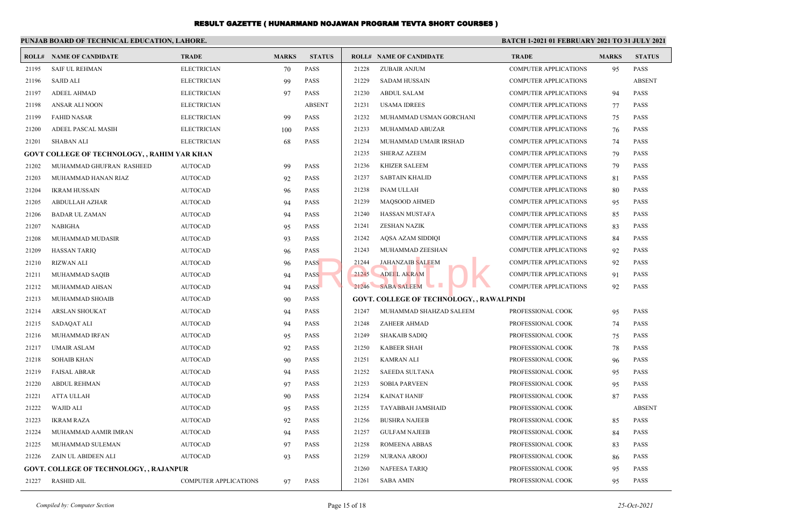|       | PUNJAB BOARD OF TECHNICAL EDUCATION, LAHORE.<br><b>BATCH 1-2021 01 FEBRUARY 2021 TO 31 JULY 2021</b> |                              |              |               |       |                                                  |                              |              |               |
|-------|------------------------------------------------------------------------------------------------------|------------------------------|--------------|---------------|-------|--------------------------------------------------|------------------------------|--------------|---------------|
|       | <b>ROLL# NAME OF CANDIDATE</b>                                                                       | <b>TRADE</b>                 | <b>MARKS</b> | <b>STATUS</b> |       | <b>ROLL# NAME OF CANDIDATE</b>                   | <b>TRADE</b>                 | <b>MARKS</b> | <b>STATUS</b> |
| 21195 | <b>SAIF UL REHMAN</b>                                                                                | <b>ELECTRICIAN</b>           | 70           | <b>PASS</b>   | 21228 | ZUBAIR ANJUM                                     | <b>COMPUTER APPLICATIONS</b> | 95           | <b>PASS</b>   |
| 21196 | SAJID ALI                                                                                            | <b>ELECTRICIAN</b>           | 99           | <b>PASS</b>   | 21229 | SADAM HUSSAIN                                    | <b>COMPUTER APPLICATIONS</b> |              | <b>ABSENT</b> |
| 21197 | <b>ADEEL AHMAD</b>                                                                                   | <b>ELECTRICIAN</b>           | 97           | <b>PASS</b>   | 21230 | <b>ABDUL SALAM</b>                               | <b>COMPUTER APPLICATIONS</b> | 94           | <b>PASS</b>   |
| 21198 | ANSAR ALI NOON                                                                                       | <b>ELECTRICIAN</b>           |              | <b>ABSENT</b> | 21231 | <b>USAMA IDREES</b>                              | <b>COMPUTER APPLICATIONS</b> | 77           | <b>PASS</b>   |
| 21199 | <b>FAHID NASAR</b>                                                                                   | <b>ELECTRICIAN</b>           | 99           | <b>PASS</b>   | 21232 | MUHAMMAD USMAN GORCHANI                          | <b>COMPUTER APPLICATIONS</b> | 75           | <b>PASS</b>   |
| 21200 | ADEEL PASCAL MASIH                                                                                   | <b>ELECTRICIAN</b>           | 100          | <b>PASS</b>   | 21233 | MUHAMMAD ABUZAR                                  | <b>COMPUTER APPLICATIONS</b> | 76           | <b>PASS</b>   |
| 21201 | <b>SHABAN ALI</b>                                                                                    | <b>ELECTRICIAN</b>           | 68           | <b>PASS</b>   | 21234 | MUHAMMAD UMAIR IRSHAD                            | <b>COMPUTER APPLICATIONS</b> | 74           | <b>PASS</b>   |
|       | GOVT COLLEGE OF TECHNOLOGY, , RAHIM YAR KHAN                                                         |                              |              |               | 21235 | SHERAZ AZEEM                                     | <b>COMPUTER APPLICATIONS</b> | 79           | <b>PASS</b>   |
| 21202 | MUHAMMAD GHUFRAN RASHEED                                                                             | <b>AUTOCAD</b>               | 99           | <b>PASS</b>   | 21236 | KHIZER SALEEM                                    | <b>COMPUTER APPLICATIONS</b> | 79           | <b>PASS</b>   |
| 21203 | MUHAMMAD HANAN RIAZ                                                                                  | <b>AUTOCAD</b>               | 92           | <b>PASS</b>   | 21237 | <b>SABTAIN KHALID</b>                            | <b>COMPUTER APPLICATIONS</b> | 81           | <b>PASS</b>   |
| 21204 | <b>IKRAM HUSSAIN</b>                                                                                 | <b>AUTOCAD</b>               | 96           | <b>PASS</b>   | 21238 | INAM ULLAH                                       | <b>COMPUTER APPLICATIONS</b> | 80           | <b>PASS</b>   |
| 21205 | ABDULLAH AZHAR                                                                                       | <b>AUTOCAD</b>               | 94           | <b>PASS</b>   | 21239 | <b>MAQSOOD AHMED</b>                             | <b>COMPUTER APPLICATIONS</b> | 95           | <b>PASS</b>   |
| 21206 | <b>BADAR UL ZAMAN</b>                                                                                | <b>AUTOCAD</b>               | 94           | <b>PASS</b>   | 21240 | HASSAN MUSTAFA                                   | <b>COMPUTER APPLICATIONS</b> | 85           | <b>PASS</b>   |
| 21207 | <b>NABIGHA</b>                                                                                       | <b>AUTOCAD</b>               | 95           | <b>PASS</b>   | 21241 | ZESHAN NAZIK                                     | COMPUTER APPLICATIONS        | 83           | <b>PASS</b>   |
| 21208 | MUHAMMAD MUDASIR                                                                                     | <b>AUTOCAD</b>               | 93           | <b>PASS</b>   | 21242 | AQSA AZAM SIDDIQI                                | <b>COMPUTER APPLICATIONS</b> | 84           | <b>PASS</b>   |
| 21209 | <b>HASSAN TARIQ</b>                                                                                  | <b>AUTOCAD</b>               | 96           | <b>PASS</b>   | 21243 | MUHAMMAD ZEESHAN                                 | <b>COMPUTER APPLICATIONS</b> | 92           | <b>PASS</b>   |
| 21210 | <b>RIZWAN ALI</b>                                                                                    | <b>AUTOCAD</b>               | 96           | <b>PASS</b>   | 21244 | <b>JAHANZAIB SALEEM</b>                          | COMPUTER APPLICATIONS        | 92           | <b>PASS</b>   |
| 21211 | MUHAMMAD SAQIB                                                                                       | <b>AUTOCAD</b>               | 94           | <b>PASS</b>   | 21245 | <b>ADEEL AKRAM</b>                               | <b>COMPUTER APPLICATIONS</b> | 91           | <b>PASS</b>   |
| 21212 | MUHAMMAD AHSAN                                                                                       | <b>AUTOCAD</b>               | 94           | <b>PASS</b>   |       | 21246 SABA SALEEM                                | <b>COMPUTER APPLICATIONS</b> | 92           | <b>PASS</b>   |
| 21213 | MUHAMMAD SHOAIB                                                                                      | <b>AUTOCAD</b>               | 90           | <b>PASS</b>   |       | <b>GOVT. COLLEGE OF TECHNOLOGY, , RAWALPINDI</b> |                              |              |               |
| 21214 | <b>ARSLAN SHOUKAT</b>                                                                                | <b>AUTOCAD</b>               | 94           | <b>PASS</b>   | 21247 | MUHAMMAD SHAHZAD SALEEM                          | PROFESSIONAL COOK            | 95           | <b>PASS</b>   |
| 21215 | <b>SADAQAT ALI</b>                                                                                   | <b>AUTOCAD</b>               | 94           | <b>PASS</b>   | 21248 | <b>ZAHEER AHMAD</b>                              | PROFESSIONAL COOK            | 74           | <b>PASS</b>   |
| 21216 | MUHAMMAD IRFAN                                                                                       | <b>AUTOCAD</b>               | 95           | <b>PASS</b>   | 21249 | SHAKAIB SADIQ                                    | PROFESSIONAL COOK            | 75           | <b>PASS</b>   |
| 21217 | UMAIR ASLAM                                                                                          | <b>AUTOCAD</b>               | 92           | <b>PASS</b>   | 21250 | <b>KABEER SHAH</b>                               | PROFESSIONAL COOK            | 78           | <b>PASS</b>   |
| 21218 | <b>SOHAIB KHAN</b>                                                                                   | <b>AUTOCAD</b>               | 90           | <b>PASS</b>   | 21251 | KAMRAN ALI                                       | PROFESSIONAL COOK            | 96           | <b>PASS</b>   |
| 21219 | <b>FAISAL ABRAR</b>                                                                                  | <b>AUTOCAD</b>               | 94           | <b>PASS</b>   | 21252 | SAEEDA SULTANA                                   | PROFESSIONAL COOK            | 95           | <b>PASS</b>   |
| 21220 | <b>ABDUL REHMAN</b>                                                                                  | <b>AUTOCAD</b>               | 97           | <b>PASS</b>   | 21253 | <b>SOBIA PARVEEN</b>                             | PROFESSIONAL COOK            | 95           | <b>PASS</b>   |
| 21221 | <b>ATTA ULLAH</b>                                                                                    | <b>AUTOCAD</b>               | 90           | <b>PASS</b>   | 21254 | KAINAT HANIF                                     | PROFESSIONAL COOK            | 87           | <b>PASS</b>   |
| 21222 | <b>WAJID ALI</b>                                                                                     | <b>AUTOCAD</b>               | 95           | <b>PASS</b>   | 21255 | <b>TAYABBAH JAMSHAID</b>                         | PROFESSIONAL COOK            |              | <b>ABSENT</b> |
| 21223 | <b>IKRAM RAZA</b>                                                                                    | <b>AUTOCAD</b>               | 92           | PASS          | 21256 | BUSHRA NAJEEB                                    | PROFESSIONAL COOK            | 85           | PASS          |
| 21224 | MUHAMMAD AAMIR IMRAN                                                                                 | <b>AUTOCAD</b>               | 94           | PASS          | 21257 | <b>GULFAM NAJEEB</b>                             | PROFESSIONAL COOK            | 84           | PASS          |
| 21225 | MUHAMMAD SULEMAN                                                                                     | <b>AUTOCAD</b>               | 97           | <b>PASS</b>   | 21258 | <b>ROMEENA ABBAS</b>                             | PROFESSIONAL COOK            | 83           | <b>PASS</b>   |
| 21226 | ZAIN UL ABIDEEN ALI                                                                                  | <b>AUTOCAD</b>               | 93           | <b>PASS</b>   | 21259 | NURANA AROOJ                                     | PROFESSIONAL COOK            | 86           | <b>PASS</b>   |
|       | <b>GOVT. COLLEGE OF TECHNOLOGY, , RAJANPUR</b>                                                       |                              |              |               | 21260 | NAFEESA TARIQ                                    | PROFESSIONAL COOK            | 95           | PASS          |
| 21227 | RASHID AIL                                                                                           | <b>COMPUTER APPLICATIONS</b> | 97           | <b>PASS</b>   | 21261 | <b>SABA AMIN</b>                                 | PROFESSIONAL COOK            | 95           | PASS          |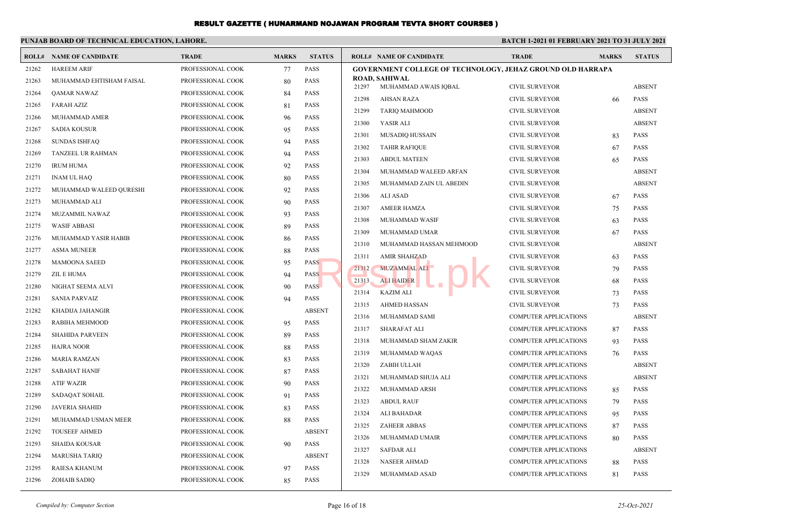|       | PUNJAB BOARD OF TECHNICAL EDUCATION, LAHORE. |                   |              |               |                                                                   | <b>BATCH 1-2021 01 FEBRUARY 2021 TO 31 JULY 2021</b> |              |                            |  |
|-------|----------------------------------------------|-------------------|--------------|---------------|-------------------------------------------------------------------|------------------------------------------------------|--------------|----------------------------|--|
|       | <b>ROLL# NAME OF CANDIDATE</b>               | <b>TRADE</b>      | <b>MARKS</b> | <b>STATUS</b> | <b>ROLL# NAME OF CANDIDATE</b>                                    | <b>TRADE</b>                                         | <b>MARKS</b> | <b>STATUS</b>              |  |
| 21262 | <b>HAREEM ARIF</b>                           | PROFESSIONAL COOK | 77           | PASS          | <b>GOVERNMENT COLLEGE OF TECHNOLOGY, JEHAZ GROUND OLD HARRAPA</b> |                                                      |              |                            |  |
| 21263 | MUHAMMAD EHTISHAM FAISAL                     | PROFESSIONAL COOK | 80           | <b>PASS</b>   | ROAD, SAHIWAL<br>21297                                            | <b>CIVIL SURVEYOR</b>                                |              | <b>ABSENT</b>              |  |
| 21264 | QAMAR NAWAZ                                  | PROFESSIONAL COOK | 84           | <b>PASS</b>   | MUHAMMAD AWAIS IQBAL<br>21298<br><b>AHSAN RAZA</b>                | <b>CIVIL SURVEYOR</b>                                |              | PASS                       |  |
| 21265 | <b>FARAH AZIZ</b>                            | PROFESSIONAL COOK | 81           | <b>PASS</b>   | 21299                                                             |                                                      | 66           | <b>ABSENT</b>              |  |
| 21266 | MUHAMMAD AMER                                | PROFESSIONAL COOK | 96           | <b>PASS</b>   | <b>TARIQ MAHMOOD</b><br>21300                                     | <b>CIVIL SURVEYOR</b>                                |              | <b>ABSENT</b>              |  |
| 21267 | <b>SADIA KOUSUR</b>                          | PROFESSIONAL COOK | 95           | <b>PASS</b>   | YASIR ALI                                                         | <b>CIVIL SURVEYOR</b>                                |              |                            |  |
| 21268 | <b>SUNDAS ISHFAQ</b>                         | PROFESSIONAL COOK | 94           | <b>PASS</b>   | 21301<br><b>MUSADIQ HUSSAIN</b><br>21302                          | <b>CIVIL SURVEYOR</b><br><b>CIVIL SURVEYOR</b>       | 83           | <b>PASS</b><br><b>PASS</b> |  |
| 21269 | TANZEEL UR RAHMAN                            | PROFESSIONAL COOK | 94           | <b>PASS</b>   | <b>TAHIR RAFIQUE</b><br>21303                                     |                                                      | 67           |                            |  |
| 21270 | <b>IRUM HUMA</b>                             | PROFESSIONAL COOK | 92           | <b>PASS</b>   | <b>ABDUL MATEEN</b><br>21304                                      | <b>CIVIL SURVEYOR</b>                                | 65           | <b>PASS</b>                |  |
| 21271 | <b>INAM UL HAQ</b>                           | PROFESSIONAL COOK | 80           | <b>PASS</b>   | MUHAMMAD WALEED ARFAN                                             | <b>CIVIL SURVEYOR</b>                                |              | <b>ABSENT</b>              |  |
| 21272 | MUHAMMAD WALEED QURESHI                      | PROFESSIONAL COOK | 92           | <b>PASS</b>   | 21305<br>MUHAMMAD ZAIN UL ABEDIN                                  | <b>CIVIL SURVEYOR</b>                                |              | <b>ABSENT</b>              |  |
| 21273 | MUHAMMAD ALI                                 | PROFESSIONAL COOK | 90           | <b>PASS</b>   | 21306<br><b>ALI ASAD</b>                                          | <b>CIVIL SURVEYOR</b>                                | 67           | <b>PASS</b>                |  |
| 21274 | MUZAMMIL NAWAZ                               | PROFESSIONAL COOK | 93           | <b>PASS</b>   | 21307<br><b>AMEER HAMZA</b>                                       | <b>CIVIL SURVEYOR</b>                                | 75           | PASS                       |  |
| 21275 | <b>WASIF ABBASI</b>                          | PROFESSIONAL COOK | 89           | <b>PASS</b>   | 21308<br>MUHAMMAD WASIF                                           | <b>CIVIL SURVEYOR</b>                                | 63           | PASS                       |  |
| 21276 | MUHAMMAD YASIR HABIB                         | PROFESSIONAL COOK | 86           | <b>PASS</b>   | 21309<br>MUHAMMAD UMAR                                            | <b>CIVIL SURVEYOR</b>                                | 67           | <b>PASS</b>                |  |
| 21277 | <b>ASMA MUNEER</b>                           | PROFESSIONAL COOK | 88           | <b>PASS</b>   | 21310<br>MUHAMMAD HASSAN MEHMOOD                                  | <b>CIVIL SURVEYOR</b>                                |              | <b>ABSENT</b>              |  |
| 21278 | <b>MAMOONA SAEED</b>                         | PROFESSIONAL COOK | 95           | <b>PASS</b>   | 21311<br><b>AMIR SHAHZAD</b>                                      | <b>CIVIL SURVEYOR</b>                                | 63           | PASS                       |  |
| 21279 | ZIL E HUMA                                   | PROFESSIONAL COOK | 94           | <b>PASS</b>   | 21312<br><b>MUZAMMAL ALI</b>                                      | <b>CIVIL SURVEYOR</b>                                | 79           | PASS                       |  |
| 21280 | NIGHAT SEEMA ALVI                            | PROFESSIONAL COOK | 90           | <b>PASS</b>   | 21313<br><b>ALI HAIDER</b>                                        | <b>CIVIL SURVEYOR</b>                                | 68           | <b>PASS</b>                |  |
| 21281 | <b>SANIA PARVAIZ</b>                         | PROFESSIONAL COOK | 94           | <b>PASS</b>   | 21314<br><b>KAZIM ALI</b>                                         | <b>CIVIL SURVEYOR</b>                                | 73           | PASS                       |  |
| 21282 | KHADIJA JAHANGIR                             | PROFESSIONAL COOK |              | <b>ABSENT</b> | 21315<br><b>AHMED HASSAN</b>                                      | <b>CIVIL SURVEYOR</b>                                | 73           | PASS                       |  |
| 21283 | RABIHA MEHMOOD                               | PROFESSIONAL COOK | 95           | <b>PASS</b>   | 21316<br>MUHAMMAD SAMI                                            | <b>COMPUTER APPLICATIONS</b>                         |              | <b>ABSENT</b>              |  |
| 21284 | <b>SHAHIDA PARVEEN</b>                       | PROFESSIONAL COOK | 89           | <b>PASS</b>   | 21317<br><b>SHARAFAT ALI</b>                                      | <b>COMPUTER APPLICATIONS</b>                         | 87           | <b>PASS</b>                |  |
| 21285 | <b>HAJRA NOOR</b>                            | PROFESSIONAL COOK | 88           | <b>PASS</b>   | 21318<br>MUHAMMAD SHAM ZAKIR                                      | <b>COMPUTER APPLICATIONS</b>                         | 93           | <b>PASS</b>                |  |
| 21286 | <b>MARIA RAMZAN</b>                          | PROFESSIONAL COOK | 83           | <b>PASS</b>   | 21319<br>MUHAMMAD WAQAS                                           | <b>COMPUTER APPLICATIONS</b>                         | 76           | <b>PASS</b>                |  |
| 21287 | <b>SABAHAT HANIF</b>                         | PROFESSIONAL COOK | 87           | <b>PASS</b>   | 21320<br>ZABIH ULLAH                                              | <b>COMPUTER APPLICATIONS</b>                         |              | <b>ABSENT</b>              |  |
| 21288 | <b>ATIF WAZIR</b>                            | PROFESSIONAL COOK | 90           | <b>PASS</b>   | 21321<br>MUHAMMAD SHUJA ALI                                       | <b>COMPUTER APPLICATIONS</b>                         |              | <b>ABSENT</b>              |  |
| 21289 | SADAQAT SOHAIL                               | PROFESSIONAL COOK | 91           | <b>PASS</b>   | 21322<br>MUHAMMAD ARSH                                            | <b>COMPUTER APPLICATIONS</b>                         | 85           | PASS                       |  |
| 21290 | <b>JAVERIA SHAHID</b>                        | PROFESSIONAL COOK | 83           | <b>PASS</b>   | 21323<br><b>ABDUL RAUF</b>                                        | <b>COMPUTER APPLICATIONS</b>                         | 79           | PASS                       |  |
| 21291 | MUHAMMAD USMAN MEER                          | PROFESSIONAL COOK | 88           | <b>PASS</b>   | 21324<br>ALI BAHADAR                                              | COMPUTER APPLICATIONS                                | 95           | PASS                       |  |
| 21292 | <b>TOUSEEF AHMED</b>                         | PROFESSIONAL COOK |              | <b>ABSENT</b> | 21325<br><b>ZAHEER ABBAS</b>                                      | COMPUTER APPLICATIONS                                | 87           | <b>PASS</b>                |  |
| 21293 | <b>SHAIDA KOUSAR</b>                         | PROFESSIONAL COOK | 90           | <b>PASS</b>   | 21326<br>MUHAMMAD UMAIR                                           | <b>COMPUTER APPLICATIONS</b>                         | 80           | <b>PASS</b>                |  |
| 21294 | <b>MARUSHA TARIQ</b>                         | PROFESSIONAL COOK |              | <b>ABSENT</b> | 21327<br><b>SAFDAR ALI</b>                                        | <b>COMPUTER APPLICATIONS</b>                         |              | <b>ABSENT</b>              |  |
| 21295 | <b>RAIESA KHANUM</b>                         | PROFESSIONAL COOK | 97           | <b>PASS</b>   | 21328<br><b>NASEER AHMAD</b>                                      | <b>COMPUTER APPLICATIONS</b>                         | 88           | <b>PASS</b>                |  |
| 21296 | <b>ZOHAIB SADIQ</b>                          | PROFESSIONAL COOK | 85           | <b>PASS</b>   | 21329<br>MUHAMMAD ASAD                                            | <b>COMPUTER APPLICATIONS</b>                         | 81           | <b>PASS</b>                |  |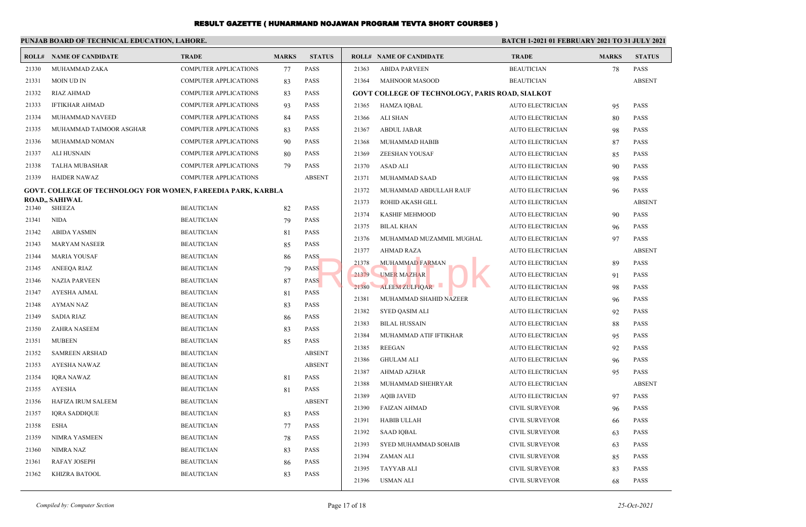|       | PUNJAB BOARD OF TECHNICAL EDUCATION, LAHORE.                        |                              |              | <b>BATCH 1-2021 01 FEBRUARY 2021 TO 31 JULY 2021</b> |       |                                                        |                         |              |               |
|-------|---------------------------------------------------------------------|------------------------------|--------------|------------------------------------------------------|-------|--------------------------------------------------------|-------------------------|--------------|---------------|
|       | <b>ROLL# NAME OF CANDIDATE</b>                                      | <b>TRADE</b>                 | <b>MARKS</b> | <b>STATUS</b>                                        |       | <b>ROLL# NAME OF CANDIDATE</b>                         | <b>TRADE</b>            | <b>MARKS</b> | <b>STATUS</b> |
| 21330 | MUHAMMAD ZAKA                                                       | <b>COMPUTER APPLICATIONS</b> | 77           | PASS                                                 | 21363 | <b>ABIDA PARVEEN</b>                                   | <b>BEAUTICIAN</b>       | 78           | PASS          |
| 21331 | MOIN UD IN                                                          | <b>COMPUTER APPLICATIONS</b> | 83           | <b>PASS</b>                                          | 21364 | <b>MAHNOOR MASOOD</b>                                  | <b>BEAUTICIAN</b>       |              | <b>ABSENT</b> |
| 21332 | <b>RIAZ AHMAD</b>                                                   | <b>COMPUTER APPLICATIONS</b> | 83           | PASS                                                 |       | <b>GOVT COLLEGE OF TECHNOLOGY, PARIS ROAD, SIALKOT</b> |                         |              |               |
| 21333 | IFTIKHAR AHMAD                                                      | <b>COMPUTER APPLICATIONS</b> | 93           | PASS                                                 | 21365 | HAMZA IQBAL                                            | <b>AUTO ELECTRICIAN</b> | 95           | <b>PASS</b>   |
| 21334 | MUHAMMAD NAVEED                                                     | <b>COMPUTER APPLICATIONS</b> | 84           | PASS                                                 | 21366 | <b>ALI SHAN</b>                                        | AUTO ELECTRICIAN        | 80           | PASS          |
| 21335 | MUHAMMAD TAIMOOR ASGHAR                                             | <b>COMPUTER APPLICATIONS</b> | 83           | PASS                                                 | 21367 | <b>ABDUL JABAR</b>                                     | <b>AUTO ELECTRICIAN</b> | 98           | PASS          |
| 21336 | MUHAMMAD NOMAN                                                      | <b>COMPUTER APPLICATIONS</b> | 90           | <b>PASS</b>                                          | 21368 | MUHAMMAD HABIB                                         | <b>AUTO ELECTRICIAN</b> | 87           | PASS          |
| 21337 | ALI HUSNAIN                                                         | <b>COMPUTER APPLICATIONS</b> | 80           | PASS                                                 | 21369 | ZEESHAN YOUSAF                                         | <b>AUTO ELECTRICIAN</b> | 85           | PASS          |
| 21338 | TALHA MUBASHAR                                                      | <b>COMPUTER APPLICATIONS</b> | 79           | PASS                                                 | 21370 | ASAD ALI                                               | <b>AUTO ELECTRICIAN</b> | 90           | PASS          |
| 21339 | <b>HAIDER NAWAZ</b>                                                 | <b>COMPUTER APPLICATIONS</b> |              | <b>ABSENT</b>                                        | 21371 | MUHAMMAD SAAD                                          | <b>AUTO ELECTRICIAN</b> | 98           | PASS          |
|       | <b>GOVT. COLLEGE OF TECHNOLOGY FOR WOMEN, FAREEDIA PARK, KARBLA</b> |                              |              |                                                      | 21372 | MUHAMMAD ABDULLAH RAUF                                 | <b>AUTO ELECTRICIAN</b> | 96           | PASS          |
| 21340 | <b>ROAD,, SAHIWAL</b><br>SHEEZA                                     | <b>BEAUTICIAN</b>            | 82           | PASS                                                 | 21373 | ROHID AKASH GILL                                       | <b>AUTO ELECTRICIAN</b> |              | <b>ABSENT</b> |
| 21341 | <b>NIDA</b>                                                         | <b>BEAUTICIAN</b>            | 79           | PASS                                                 | 21374 | <b>KASHIF MEHMOOD</b>                                  | <b>AUTO ELECTRICIAN</b> | 90           | <b>PASS</b>   |
| 21342 | ABIDA YASMIN                                                        | <b>BEAUTICIAN</b>            | 81           | PASS                                                 | 21375 | <b>BILAL KHAN</b>                                      | <b>AUTO ELECTRICIAN</b> | 96           | PASS          |
| 21343 | <b>MARYAM NASEER</b>                                                | <b>BEAUTICIAN</b>            | 85           | PASS                                                 | 21376 | MUHAMMAD MUZAMMIL MUGHAL                               | <b>AUTO ELECTRICIAN</b> | 97           | PASS          |
| 21344 | <b>MARIA YOUSAF</b>                                                 | <b>BEAUTICIAN</b>            | 86           | <b>PASS</b>                                          | 21377 | <b>AHMAD RAZA</b>                                      | <b>AUTO ELECTRICIAN</b> |              | <b>ABSENT</b> |
| 21345 | ANEEQA RIAZ                                                         | <b>BEAUTICIAN</b>            | 79           | <b>PASS</b>                                          | 21378 | <b>MUHAMMAD FARMAN</b>                                 | <b>AUTO ELECTRICIAN</b> | 89           | <b>PASS</b>   |
| 21346 | <b>NAZIA PARVEEN</b>                                                | <b>BEAUTICIAN</b>            | 87           | <b>PASS</b>                                          | 21379 | <b>UMER MAZHAR</b>                                     | <b>AUTO ELECTRICIAN</b> | 91           | PASS          |
| 21347 | AYESHA AJMAL                                                        | <b>BEAUTICIAN</b>            | 81           | PASS                                                 | 21380 | ALEEM ZULFIQAR                                         | <b>AUTO ELECTRICIAN</b> | 98           | PASS          |
| 21348 | AYMAN NAZ                                                           | <b>BEAUTICIAN</b>            | 83           | <b>PASS</b>                                          | 21381 | MUHAMMAD SHAHID NAZEER                                 | <b>AUTO ELECTRICIAN</b> | 96           | PASS          |
| 21349 | <b>SADIA RIAZ</b>                                                   | <b>BEAUTICIAN</b>            | 86           | PASS                                                 | 21382 | <b>SYED QASIM ALI</b>                                  | <b>AUTO ELECTRICIAN</b> | 92           | PASS          |
| 21350 | ZAHRA NASEEM                                                        | <b>BEAUTICIAN</b>            | 83           | <b>PASS</b>                                          | 21383 | <b>BILAL HUSSAIN</b>                                   | <b>AUTO ELECTRICIAN</b> | 88           | PASS          |
| 21351 | MUBEEN                                                              | <b>BEAUTICIAN</b>            | 85           | PASS                                                 | 21384 | MUHAMMAD ATIF IFTIKHAR                                 | AUTO ELECTRICIAN        | 95           | PASS          |
| 21352 | <b>SAMREEN ARSHAD</b>                                               | <b>BEAUTICIAN</b>            |              | <b>ABSENT</b>                                        | 21385 | <b>REEGAN</b>                                          | <b>AUTO ELECTRICIAN</b> | 92           | PASS          |
| 21353 | AYESHA NAWAZ                                                        | <b>BEAUTICIAN</b>            |              | <b>ABSENT</b>                                        | 21386 | <b>GHULAM ALI</b>                                      | <b>AUTO ELECTRICIAN</b> | 96           | PASS          |
| 21354 | <b>IQRA NAWAZ</b>                                                   | <b>BEAUTICIAN</b>            | 81           | PASS                                                 | 21387 | AHMAD AZHAR                                            | <b>AUTO ELECTRICIAN</b> | 95           | <b>PASS</b>   |
| 21355 | AYESHA                                                              | <b>BEAUTICIAN</b>            | 81           | PASS                                                 | 21388 | MUHAMMAD SHEHRYAR                                      | <b>AUTO ELECTRICIAN</b> |              | <b>ABSENT</b> |
| 21356 | HAFIZA IRUM SALEEM                                                  | <b>BEAUTICIAN</b>            |              | <b>ABSENT</b>                                        | 21389 | <b>AQIB JAVED</b>                                      | <b>AUTO ELECTRICIAN</b> | 97           | PASS          |
| 21357 | <b>IQRA SADDIQUE</b>                                                | <b>BEAUTICIAN</b>            | 83           | PASS                                                 | 21390 | <b>FAIZAN AHMAD</b>                                    | <b>CIVIL SURVEYOR</b>   | 96           | PASS          |
| 21358 | ESHA                                                                | <b>BEAUTICIAN</b>            | 77           | PASS                                                 | 21391 | HABIB ULLAH                                            | <b>CIVIL SURVEYOR</b>   | 66           | PASS          |
| 21359 | NIMRA YASMEEN                                                       | <b>BEAUTICIAN</b>            | 78           | PASS                                                 | 21392 | <b>SAAD IQBAL</b>                                      | <b>CIVIL SURVEYOR</b>   | 63           | PASS          |
| 21360 | NIMRA NAZ                                                           | <b>BEAUTICIAN</b>            | 83           | PASS                                                 | 21393 | SYED MUHAMMAD SOHAIB                                   | CIVIL SURVEYOR          | 63           | PASS          |
| 21361 | RAFAY JOSEPH                                                        | <b>BEAUTICIAN</b>            | 86           | PASS                                                 | 21394 | ZAMAN ALI                                              | <b>CIVIL SURVEYOR</b>   | 85           | PASS          |
| 21362 | KHIZRA BATOOL                                                       | <b>BEAUTICIAN</b>            | 83           | PASS                                                 | 21395 | <b>TAYYAB ALI</b>                                      | <b>CIVIL SURVEYOR</b>   | 83           | PASS          |
|       |                                                                     |                              |              |                                                      | 21396 | <b>USMAN ALI</b>                                       | CIVIL SURVEYOR          | 68           | PASS          |